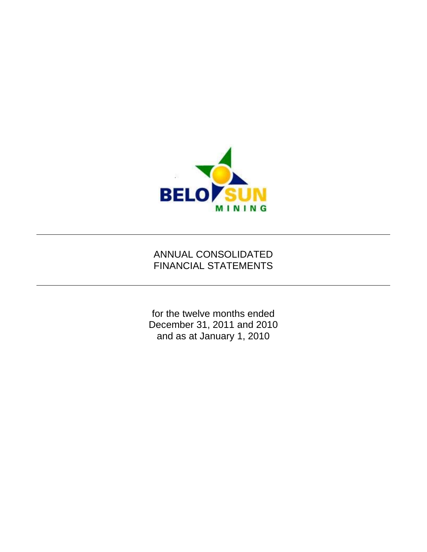

# ANNUAL CONSOLIDATED FINANCIAL STATEMENTS

for the twelve months ended December 31, 2011 and 2010 and as at January 1, 2010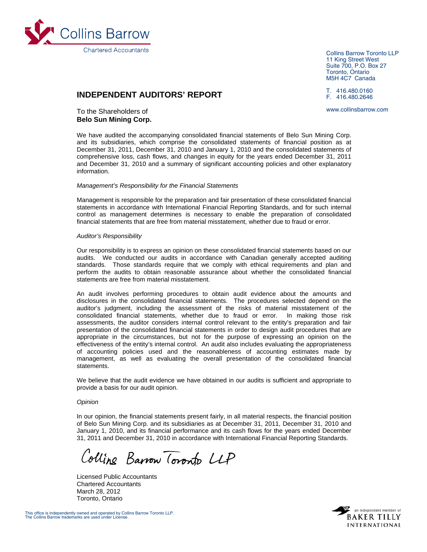

**INDEPENDENT AUDITORS' REPORT** 

# To the Shareholders of **Belo Sun Mining Corp.**

Collins Barrow Toronto LLP 11 King Street West Suite 700, P.O. Box 27 Toronto, Ontario M5H 4C7 Canada

T. 416.480.0160 F. 416.480.2646

www.collinsbarrow.com

We have audited the accompanying consolidated financial statements of Belo Sun Mining Corp. and its subsidiaries, which comprise the consolidated statements of financial position as at December 31, 2011, December 31, 2010 and January 1, 2010 and the consolidated statements of comprehensive loss, cash flows, and changes in equity for the years ended December 31, 2011 and December 31, 2010 and a summary of significant accounting policies and other explanatory information.

#### *Management's Responsibility for the Financial Statements*

Management is responsible for the preparation and fair presentation of these consolidated financial statements in accordance with International Financial Reporting Standards, and for such internal control as management determines is necessary to enable the preparation of consolidated financial statements that are free from material misstatement, whether due to fraud or error.

#### *Auditor's Responsibility*

Our responsibility is to express an opinion on these consolidated financial statements based on our audits. We conducted our audits in accordance with Canadian generally accepted auditing standards. Those standards require that we comply with ethical requirements and plan and perform the audits to obtain reasonable assurance about whether the consolidated financial statements are free from material misstatement.

An audit involves performing procedures to obtain audit evidence about the amounts and disclosures in the consolidated financial statements. The procedures selected depend on the auditor's judgment, including the assessment of the risks of material misstatement of the consolidated financial statements, whether due to fraud or error. In making those risk assessments, the auditor considers internal control relevant to the entity's preparation and fair presentation of the consolidated financial statements in order to design audit procedures that are appropriate in the circumstances, but not for the purpose of expressing an opinion on the effectiveness of the entity's internal control. An audit also includes evaluating the appropriateness of accounting policies used and the reasonableness of accounting estimates made by management, as well as evaluating the overall presentation of the consolidated financial statements.

We believe that the audit evidence we have obtained in our audits is sufficient and appropriate to provide a basis for our audit opinion.

#### *Opinion*

In our opinion, the financial statements present fairly, in all material respects, the financial position of Belo Sun Mining Corp. and its subsidiaries as at December 31, 2011, December 31, 2010 and January 1, 2010, and its financial performance and its cash flows for the years ended December 31, 2011 and December 31, 2010 in accordance with International Financial Reporting Standards.

Colline Barrow Toronto LLP

Licensed Public Accountants Chartered Accountants March 28, 2012 Toronto, Ontario

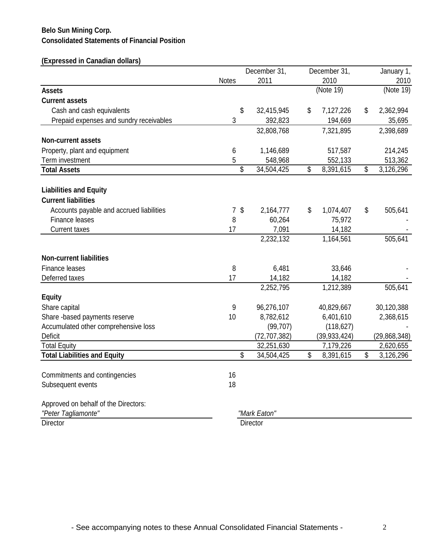# **Consolidated Statements of Financial Position Belo Sun Mining Corp.**

# **(Expressed in Canadian dollars)**

|                                          |                                           | December 31,    |    | December 31,   |      | January 1,     |
|------------------------------------------|-------------------------------------------|-----------------|----|----------------|------|----------------|
|                                          | <b>Notes</b>                              | 2011            |    | 2010           | 2010 |                |
| <b>Assets</b>                            |                                           |                 |    | (Note 19)      |      | (Note 19)      |
| <b>Current assets</b>                    |                                           |                 |    |                |      |                |
| Cash and cash equivalents                | \$                                        | 32,415,945      | \$ | 7,127,226      | \$   | 2,362,994      |
| Prepaid expenses and sundry receivables  | 3                                         | 392,823         |    | 194,669        |      | 35,695         |
|                                          |                                           | 32,808,768      |    | 7,321,895      |      | 2,398,689      |
| <b>Non-current assets</b>                |                                           |                 |    |                |      |                |
| Property, plant and equipment            | 6                                         | 1,146,689       |    | 517,587        |      | 214,245        |
| Term investment                          | 5                                         | 548,968         |    | 552,133        |      | 513,362        |
| <b>Total Assets</b>                      | \$                                        | 34,504,425      | \$ | 8,391,615      | \$   | 3,126,296      |
| <b>Liabilities and Equity</b>            |                                           |                 |    |                |      |                |
| <b>Current liabilities</b>               |                                           |                 |    |                |      |                |
| Accounts payable and accrued liabilities | $\sqrt[6]{\frac{1}{2}}$<br>$\overline{7}$ | 2,164,777       | \$ | 1,074,407      | \$   | 505,641        |
| Finance leases                           | 8                                         | 60,264          |    | 75,972         |      |                |
| <b>Current taxes</b>                     | 17                                        | 7,091           |    | 14,182         |      |                |
|                                          |                                           | 2,232,132       |    | 1,164,561      |      | 505,641        |
| <b>Non-current liabilities</b>           |                                           |                 |    |                |      |                |
| Finance leases                           | 8                                         | 6,481           |    | 33,646         |      |                |
| Deferred taxes                           | 17                                        | 14,182          |    | 14,182         |      |                |
|                                          |                                           | 2,252,795       |    | 1,212,389      |      | 505,641        |
| <b>Equity</b>                            |                                           |                 |    |                |      |                |
| Share capital                            | 9                                         | 96,276,107      |    | 40,829,667     |      | 30,120,388     |
| Share -based payments reserve            | 10                                        | 8,782,612       |    | 6,401,610      |      | 2,368,615      |
| Accumulated other comprehensive loss     |                                           | (99, 707)       |    | (118, 627)     |      |                |
| <b>Deficit</b>                           |                                           | (72, 707, 382)  |    | (39, 933, 424) |      | (29, 868, 348) |
| <b>Total Equity</b>                      |                                           | 32,251,630      |    | 7,179,226      |      | 2,620,655      |
| <b>Total Liabilities and Equity</b>      | \$                                        | 34,504,425      | \$ | 8,391,615      | \$   | 3,126,296      |
| Commitments and contingencies            | 16                                        |                 |    |                |      |                |
| Subsequent events                        | 18                                        |                 |    |                |      |                |
| Approved on behalf of the Directors:     |                                           |                 |    |                |      |                |
| "Peter Tagliamonte"                      |                                           | "Mark Eaton"    |    |                |      |                |
| <b>Director</b>                          |                                           | <b>Director</b> |    |                |      |                |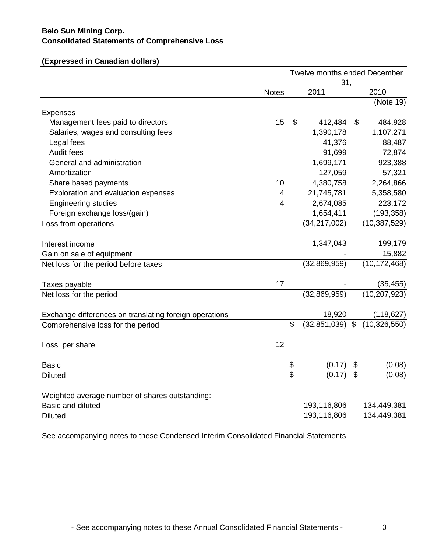# **Consolidated Statements of Comprehensive Loss Belo Sun Mining Corp.**

|                                                        | Twelve months ended December |    |                |                           |                |
|--------------------------------------------------------|------------------------------|----|----------------|---------------------------|----------------|
|                                                        |                              |    | 31,<br>2011    |                           | 2010           |
|                                                        | <b>Notes</b>                 |    |                |                           | (Note 19)      |
| <b>Expenses</b>                                        |                              |    |                |                           |                |
| Management fees paid to directors                      | 15                           | \$ | 412,484        | \$                        | 484,928        |
| Salaries, wages and consulting fees                    |                              |    | 1,390,178      |                           | 1,107,271      |
| Legal fees                                             |                              |    | 41,376         |                           | 88,487         |
| Audit fees                                             |                              |    | 91,699         |                           | 72,874         |
| General and administration                             |                              |    | 1,699,171      |                           | 923,388        |
| Amortization                                           |                              |    | 127,059        |                           | 57,321         |
| Share based payments                                   | 10                           |    | 4,380,758      |                           | 2,264,866      |
| Exploration and evaluation expenses                    | 4                            |    | 21,745,781     |                           | 5,358,580      |
| <b>Engineering studies</b>                             | 4                            |    | 2,674,085      |                           | 223,172        |
| Foreign exchange loss/(gain)                           |                              |    | 1,654,411      |                           | (193, 358)     |
| Loss from operations                                   |                              |    | (34, 217, 002) |                           | (10, 387, 529) |
| Interest income                                        |                              |    | 1,347,043      |                           | 199,179        |
| Gain on sale of equipment                              |                              |    |                |                           | 15,882         |
| Net loss for the period before taxes                   |                              |    | (32,869,959)   |                           | (10, 172, 468) |
| Taxes payable                                          | 17                           |    |                |                           | (35, 455)      |
| Net loss for the period                                |                              |    | (32,869,959)   |                           | (10, 207, 923) |
| Exchange differences on translating foreign operations |                              |    | 18,920         |                           | (118, 627)     |
| Comprehensive loss for the period                      |                              | S  | (32, 851, 039) | $\overline{\mathbf{3}}$   | (10, 326, 550) |
| Loss per share                                         | 12                           |    |                |                           |                |
| <b>Basic</b>                                           |                              | \$ | (0.17)         | \$                        | (0.08)         |
| <b>Diluted</b>                                         |                              | \$ | (0.17)         | $\boldsymbol{\mathsf{S}}$ | (0.08)         |
| Weighted average number of shares outstanding:         |                              |    |                |                           |                |
| <b>Basic and diluted</b>                               |                              |    | 193,116,806    |                           | 134,449,381    |
| <b>Diluted</b>                                         |                              |    | 193,116,806    |                           | 134,449,381    |

See accompanying notes to these Condensed Interim Consolidated Financial Statements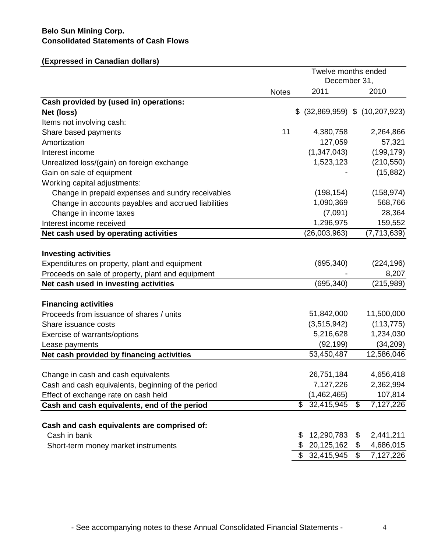# **Consolidated Statements of Cash Flows Belo Sun Mining Corp.**

# **(Expressed in Canadian dollars)**

|                                                                                      |              | Twelve months ended<br>December 31, |                |               |
|--------------------------------------------------------------------------------------|--------------|-------------------------------------|----------------|---------------|
|                                                                                      | <b>Notes</b> | 2011                                |                | 2010          |
| Cash provided by (used in) operations:                                               |              |                                     |                |               |
| Net (loss)                                                                           |              | $$$ (32,869,959) $$$ (10,207,923)   |                |               |
| Items not involving cash:                                                            |              |                                     |                |               |
| Share based payments                                                                 | 11           | 4,380,758                           |                | 2,264,866     |
| Amortization                                                                         |              | 127,059                             |                | 57,321        |
| Interest income                                                                      |              | (1,347,043)                         |                | (199, 179)    |
| Unrealized loss/(gain) on foreign exchange                                           |              | 1,523,123                           |                | (210, 550)    |
| Gain on sale of equipment                                                            |              |                                     |                | (15, 882)     |
| Working capital adjustments:                                                         |              |                                     |                |               |
| Change in prepaid expenses and sundry receivables                                    |              | (198, 154)                          |                | (158, 974)    |
| Change in accounts payables and accrued liabilities                                  |              | 1,090,369                           |                | 568,766       |
| Change in income taxes                                                               |              | (7,091)                             |                | 28,364        |
| Interest income received                                                             |              | 1,296,975                           |                | 159,552       |
| Net cash used by operating activities                                                |              | (26,003,963)                        |                | (7, 713, 639) |
| <b>Investing activities</b>                                                          |              |                                     |                |               |
| Expenditures on property, plant and equipment                                        |              | (695, 340)                          |                | (224, 196)    |
| Proceeds on sale of property, plant and equipment                                    |              |                                     |                | 8,207         |
| Net cash used in investing activities                                                |              | (695, 340)                          |                | (215,989)     |
|                                                                                      |              |                                     |                |               |
| <b>Financing activities</b>                                                          |              |                                     |                |               |
| Proceeds from issuance of shares / units                                             |              | 51,842,000                          |                | 11,500,000    |
| Share issuance costs                                                                 |              | (3,515,942)                         |                | (113, 775)    |
| Exercise of warrants/options                                                         |              | 5,216,628                           |                | 1,234,030     |
| Lease payments                                                                       |              | (92, 199)                           |                | (34, 209)     |
| Net cash provided by financing activities                                            |              | 53,450,487                          |                | 12,586,046    |
| Change in cash and cash equivalents                                                  |              | 26,751,184                          |                | 4,656,418     |
|                                                                                      |              | 7,127,226                           |                | 2,362,994     |
| Cash and cash equivalents, beginning of the period                                   |              | (1,462,465)                         |                | 107,814       |
| Effect of exchange rate on cash held<br>Cash and cash equivalents, end of the period |              | \$32,415,945                        | \$             | 7,127,226     |
|                                                                                      |              |                                     |                |               |
| Cash and cash equivalents are comprised of:                                          |              |                                     |                |               |
| Cash in bank                                                                         |              | 12,290,783<br>\$.                   | \$             | 2,441,211     |
| Short-term money market instruments                                                  |              | \$<br>20,125,162                    | \$             | 4,686,015     |
|                                                                                      |              | \$32,415,945                        | $\mathfrak{F}$ | 7,127,226     |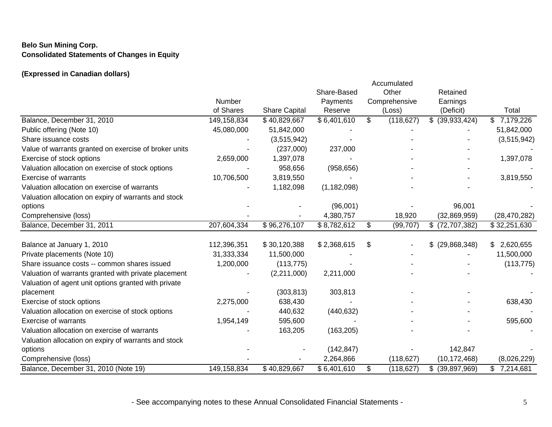# **Belo Sun Mining Corp. Consolidated Statements of Changes in Equity**

# **(Expressed in Canadian dollars)**

|                                                       |             |                           |               |    | Accumulated   |                  |                 |  |
|-------------------------------------------------------|-------------|---------------------------|---------------|----|---------------|------------------|-----------------|--|
|                                                       |             |                           | Share-Based   |    | Other         | Retained         |                 |  |
|                                                       | Number      |                           | Payments      |    | Comprehensive | Earnings         |                 |  |
|                                                       | of Shares   | <b>Share Capital</b>      | Reserve       |    | (Loss)        | (Deficit)        | Total           |  |
| Balance, December 31, 2010                            | 149,158,834 | \$40,829,667              | \$6,401,610   | \$ | (118, 627)    | $$$ (39,933,424) | 7,179,226<br>\$ |  |
| Public offering (Note 10)                             | 45,080,000  | 51,842,000                |               |    |               |                  | 51,842,000      |  |
| Share issuance costs                                  |             | (3,515,942)               |               |    |               |                  | (3,515,942)     |  |
| Value of warrants granted on exercise of broker units |             | (237,000)                 | 237,000       |    |               |                  |                 |  |
| Exercise of stock options                             | 2,659,000   | 1,397,078                 |               |    |               |                  | 1,397,078       |  |
| Valuation allocation on exercise of stock options     |             | 958,656                   | (958, 656)    |    |               |                  |                 |  |
| <b>Exercise of warrants</b>                           | 10,706,500  | 3,819,550                 |               |    |               |                  | 3,819,550       |  |
| Valuation allocation on exercise of warrants          |             | 1,182,098                 | (1, 182, 098) |    |               |                  |                 |  |
| Valuation allocation on expiry of warrants and stock  |             |                           |               |    |               |                  |                 |  |
| options                                               |             |                           | (96,001)      |    |               | 96,001           |                 |  |
| Comprehensive (loss)                                  |             |                           | 4,380,757     |    | 18,920        | (32, 869, 959)   | (28, 470, 282)  |  |
| Balance, December 31, 2011                            | 207,604,334 | $\overline{$}$ 96,276,107 | \$8,782,612   | \$ | (99, 707)     | $$$ (72,707,382) | \$32,251,630    |  |
| Balance at January 1, 2010                            | 112,396,351 | \$30,120,388              | \$2,368,615   | S  |               | $$$ (29,868,348) | \$2,620,655     |  |
| Private placements (Note 10)                          | 31,333,334  | 11,500,000                |               |    |               |                  | 11,500,000      |  |
| Share issuance costs -- common shares issued          | 1,200,000   | (113, 775)                |               |    |               |                  | (113, 775)      |  |
| Valuation of warrants granted with private placement  |             | (2,211,000)               | 2,211,000     |    |               |                  |                 |  |
| Valuation of agent unit options granted with private  |             |                           |               |    |               |                  |                 |  |
| placement                                             |             | (303, 813)                | 303,813       |    |               |                  |                 |  |
| Exercise of stock options                             | 2,275,000   | 638,430                   |               |    |               |                  | 638,430         |  |
| Valuation allocation on exercise of stock options     |             | 440,632                   | (440, 632)    |    |               |                  |                 |  |
| <b>Exercise of warrants</b>                           | 1,954,149   | 595,600                   |               |    |               |                  | 595,600         |  |
| Valuation allocation on exercise of warrants          |             | 163,205                   | (163, 205)    |    |               |                  |                 |  |
| Valuation allocation on expiry of warrants and stock  |             |                           |               |    |               |                  |                 |  |
| options                                               |             |                           | (142, 847)    |    |               | 142,847          |                 |  |
| Comprehensive (loss)                                  |             |                           | 2,264,866     |    | (118, 627)    | (10, 172, 468)   | (8,026,229)     |  |
| Balance, December 31, 2010 (Note 19)                  | 149,158,834 | \$40,829,667              | \$6,401,610   | \$ | (118, 627)    | $$$ (39,897,969) | 7,214,681       |  |
|                                                       |             |                           |               |    |               |                  |                 |  |

- See accompanying notes to these Annual Consolidated Financial Statements - 5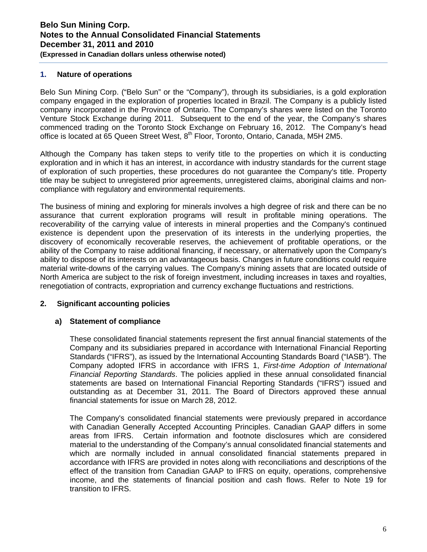# **1. Nature of operations**

Belo Sun Mining Corp. ("Belo Sun" or the "Company"), through its subsidiaries, is a gold exploration company engaged in the exploration of properties located in Brazil. The Company is a publicly listed company incorporated in the Province of Ontario. The Company's shares were listed on the Toronto Venture Stock Exchange during 2011. Subsequent to the end of the year, the Company's shares commenced trading on the Toronto Stock Exchange on February 16, 2012. The Company's head office is located at 65 Queen Street West, 8<sup>th</sup> Floor, Toronto, Ontario, Canada, M5H 2M5.

Although the Company has taken steps to verify title to the properties on which it is conducting exploration and in which it has an interest, in accordance with industry standards for the current stage of exploration of such properties, these procedures do not guarantee the Company's title. Property title may be subject to unregistered prior agreements, unregistered claims, aboriginal claims and noncompliance with regulatory and environmental requirements.

The business of mining and exploring for minerals involves a high degree of risk and there can be no assurance that current exploration programs will result in profitable mining operations. The recoverability of the carrying value of interests in mineral properties and the Company's continued existence is dependent upon the preservation of its interests in the underlying properties, the discovery of economically recoverable reserves, the achievement of profitable operations, or the ability of the Company to raise additional financing, if necessary, or alternatively upon the Company's ability to dispose of its interests on an advantageous basis. Changes in future conditions could require material write-downs of the carrying values. The Company's mining assets that are located outside of North America are subject to the risk of foreign investment, including increases in taxes and royalties, renegotiation of contracts, expropriation and currency exchange fluctuations and restrictions.

# **2. Significant accounting policies**

#### **a) Statement of compliance**

These consolidated financial statements represent the first annual financial statements of the Company and its subsidiaries prepared in accordance with International Financial Reporting Standards ("IFRS"), as issued by the International Accounting Standards Board ("IASB"). The Company adopted IFRS in accordance with IFRS 1, *First-time Adoption of International Financial Reporting Standards*. The policies applied in these annual consolidated financial statements are based on International Financial Reporting Standards ("IFRS") issued and outstanding as at December 31, 2011. The Board of Directors approved these annual financial statements for issue on March 28, 2012.

The Company's consolidated financial statements were previously prepared in accordance with Canadian Generally Accepted Accounting Principles. Canadian GAAP differs in some areas from IFRS. Certain information and footnote disclosures which are considered material to the understanding of the Company's annual consolidated financial statements and which are normally included in annual consolidated financial statements prepared in accordance with IFRS are provided in notes along with reconciliations and descriptions of the effect of the transition from Canadian GAAP to IFRS on equity, operations, comprehensive income, and the statements of financial position and cash flows. Refer to Note 19 for transition to IFRS.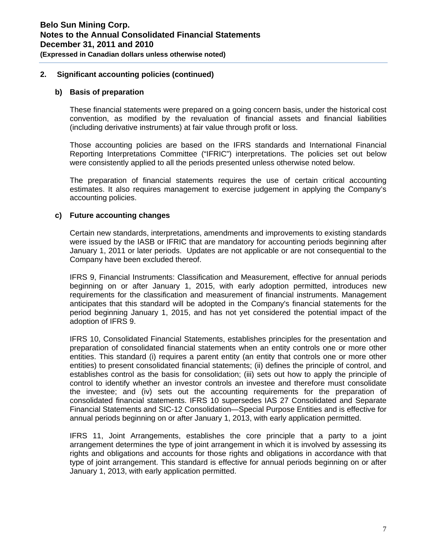**(Expressed in Canadian dollars unless otherwise noted)** 

### **2. Significant accounting policies (continued)**

#### **b) Basis of preparation**

These financial statements were prepared on a going concern basis, under the historical cost convention, as modified by the revaluation of financial assets and financial liabilities (including derivative instruments) at fair value through profit or loss.

Those accounting policies are based on the IFRS standards and International Financial Reporting Interpretations Committee ("IFRIC") interpretations. The policies set out below were consistently applied to all the periods presented unless otherwise noted below.

The preparation of financial statements requires the use of certain critical accounting estimates. It also requires management to exercise judgement in applying the Company's accounting policies.

# **c) Future accounting changes**

Certain new standards, interpretations, amendments and improvements to existing standards were issued by the IASB or IFRIC that are mandatory for accounting periods beginning after January 1, 2011 or later periods. Updates are not applicable or are not consequential to the Company have been excluded thereof.

IFRS 9, Financial Instruments: Classification and Measurement, effective for annual periods beginning on or after January 1, 2015, with early adoption permitted, introduces new requirements for the classification and measurement of financial instruments. Management anticipates that this standard will be adopted in the Company's financial statements for the period beginning January 1, 2015, and has not yet considered the potential impact of the adoption of IFRS 9.

IFRS 10, Consolidated Financial Statements, establishes principles for the presentation and preparation of consolidated financial statements when an entity controls one or more other entities. This standard (i) requires a parent entity (an entity that controls one or more other entities) to present consolidated financial statements; (ii) defines the principle of control, and establishes control as the basis for consolidation; (iii) sets out how to apply the principle of control to identify whether an investor controls an investee and therefore must consolidate the investee; and (iv) sets out the accounting requirements for the preparation of consolidated financial statements. IFRS 10 supersedes IAS 27 Consolidated and Separate Financial Statements and SIC-12 Consolidation—Special Purpose Entities and is effective for annual periods beginning on or after January 1, 2013, with early application permitted.

IFRS 11, Joint Arrangements, establishes the core principle that a party to a joint arrangement determines the type of joint arrangement in which it is involved by assessing its rights and obligations and accounts for those rights and obligations in accordance with that type of joint arrangement. This standard is effective for annual periods beginning on or after January 1, 2013, with early application permitted.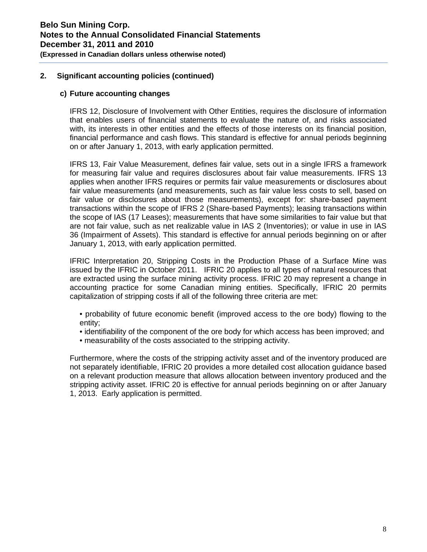#### **c) Future accounting changes**

IFRS 12, Disclosure of Involvement with Other Entities, requires the disclosure of information that enables users of financial statements to evaluate the nature of, and risks associated with, its interests in other entities and the effects of those interests on its financial position, financial performance and cash flows. This standard is effective for annual periods beginning on or after January 1, 2013, with early application permitted.

IFRS 13, Fair Value Measurement, defines fair value, sets out in a single IFRS a framework for measuring fair value and requires disclosures about fair value measurements. IFRS 13 applies when another IFRS requires or permits fair value measurements or disclosures about fair value measurements (and measurements, such as fair value less costs to sell, based on fair value or disclosures about those measurements), except for: share-based payment transactions within the scope of IFRS 2 (Share-based Payments); leasing transactions within the scope of IAS (17 Leases); measurements that have some similarities to fair value but that are not fair value, such as net realizable value in IAS 2 (Inventories); or value in use in IAS 36 (Impairment of Assets). This standard is effective for annual periods beginning on or after January 1, 2013, with early application permitted.

IFRIC Interpretation 20, Stripping Costs in the Production Phase of a Surface Mine was issued by the IFRIC in October 2011. IFRIC 20 applies to all types of natural resources that are extracted using the surface mining activity process. IFRIC 20 may represent a change in accounting practice for some Canadian mining entities. Specifically, IFRIC 20 permits capitalization of stripping costs if all of the following three criteria are met:

- probability of future economic benefit (improved access to the ore body) flowing to the entity;
- identifiability of the component of the ore body for which access has been improved; and
- measurability of the costs associated to the stripping activity.

Furthermore, where the costs of the stripping activity asset and of the inventory produced are not separately identifiable, IFRIC 20 provides a more detailed cost allocation guidance based on a relevant production measure that allows allocation between inventory produced and the stripping activity asset. IFRIC 20 is effective for annual periods beginning on or after January 1, 2013. Early application is permitted.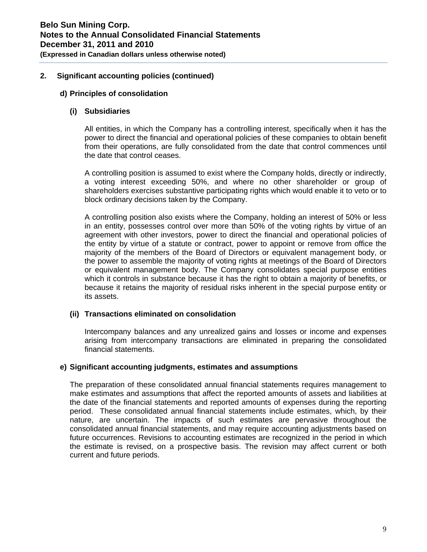# **d) Principles of consolidation**

### **(i) Subsidiaries**

All entities, in which the Company has a controlling interest, specifically when it has the power to direct the financial and operational policies of these companies to obtain benefit from their operations, are fully consolidated from the date that control commences until the date that control ceases.

A controlling position is assumed to exist where the Company holds, directly or indirectly, a voting interest exceeding 50%, and where no other shareholder or group of shareholders exercises substantive participating rights which would enable it to veto or to block ordinary decisions taken by the Company.

A controlling position also exists where the Company, holding an interest of 50% or less in an entity, possesses control over more than 50% of the voting rights by virtue of an agreement with other investors, power to direct the financial and operational policies of the entity by virtue of a statute or contract, power to appoint or remove from office the majority of the members of the Board of Directors or equivalent management body, or the power to assemble the majority of voting rights at meetings of the Board of Directors or equivalent management body. The Company consolidates special purpose entities which it controls in substance because it has the right to obtain a majority of benefits, or because it retains the majority of residual risks inherent in the special purpose entity or its assets.

# **(ii) Transactions eliminated on consolidation**

Intercompany balances and any unrealized gains and losses or income and expenses arising from intercompany transactions are eliminated in preparing the consolidated financial statements.

#### **e) Significant accounting judgments, estimates and assumptions**

The preparation of these consolidated annual financial statements requires management to make estimates and assumptions that affect the reported amounts of assets and liabilities at the date of the financial statements and reported amounts of expenses during the reporting period. These consolidated annual financial statements include estimates, which, by their nature, are uncertain. The impacts of such estimates are pervasive throughout the consolidated annual financial statements, and may require accounting adjustments based on future occurrences. Revisions to accounting estimates are recognized in the period in which the estimate is revised, on a prospective basis. The revision may affect current or both current and future periods.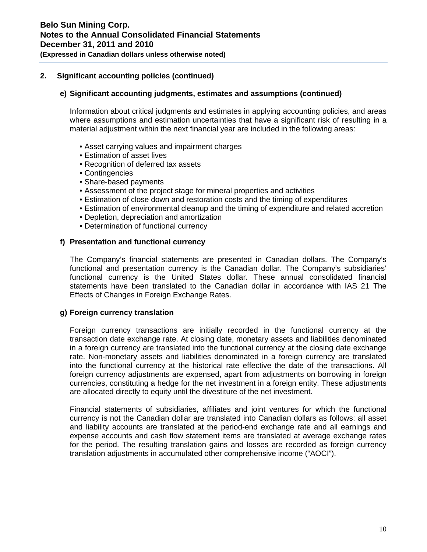# **(Expressed in Canadian dollars unless otherwise noted)**

# **2. Significant accounting policies (continued)**

#### **e) Significant accounting judgments, estimates and assumptions (continued)**

Information about critical judgments and estimates in applying accounting policies, and areas where assumptions and estimation uncertainties that have a significant risk of resulting in a material adjustment within the next financial year are included in the following areas:

- Asset carrying values and impairment charges
- Estimation of asset lives
- Recognition of deferred tax assets
- Contingencies
- Share-based payments
- Assessment of the project stage for mineral properties and activities
- Estimation of close down and restoration costs and the timing of expenditures
- Estimation of environmental cleanup and the timing of expenditure and related accretion
- Depletion, depreciation and amortization
- Determination of functional currency

#### **f) Presentation and functional currency**

The Company's financial statements are presented in Canadian dollars. The Company's functional and presentation currency is the Canadian dollar. The Company's subsidiaries' functional currency is the United States dollar. These annual consolidated financial statements have been translated to the Canadian dollar in accordance with IAS 21 The Effects of Changes in Foreign Exchange Rates.

#### **g) Foreign currency translation**

Foreign currency transactions are initially recorded in the functional currency at the transaction date exchange rate. At closing date, monetary assets and liabilities denominated in a foreign currency are translated into the functional currency at the closing date exchange rate. Non-monetary assets and liabilities denominated in a foreign currency are translated into the functional currency at the historical rate effective the date of the transactions. All foreign currency adjustments are expensed, apart from adjustments on borrowing in foreign currencies, constituting a hedge for the net investment in a foreign entity. These adjustments are allocated directly to equity until the divestiture of the net investment.

Financial statements of subsidiaries, affiliates and joint ventures for which the functional currency is not the Canadian dollar are translated into Canadian dollars as follows: all asset and liability accounts are translated at the period-end exchange rate and all earnings and expense accounts and cash flow statement items are translated at average exchange rates for the period. The resulting translation gains and losses are recorded as foreign currency translation adjustments in accumulated other comprehensive income ("AOCI").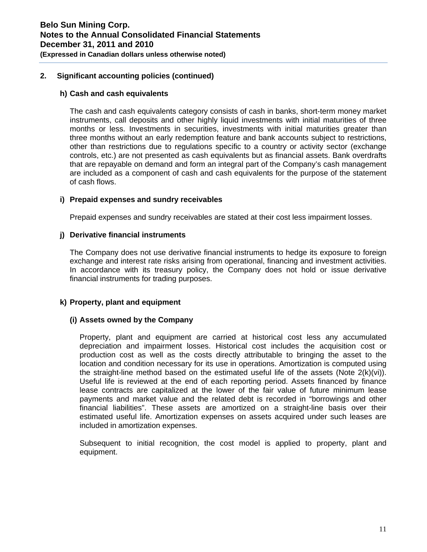#### **h) Cash and cash equivalents**

The cash and cash equivalents category consists of cash in banks, short-term money market instruments, call deposits and other highly liquid investments with initial maturities of three months or less. Investments in securities, investments with initial maturities greater than three months without an early redemption feature and bank accounts subject to restrictions, other than restrictions due to regulations specific to a country or activity sector (exchange controls, etc.) are not presented as cash equivalents but as financial assets. Bank overdrafts that are repayable on demand and form an integral part of the Company's cash management are included as a component of cash and cash equivalents for the purpose of the statement of cash flows.

#### **i) Prepaid expenses and sundry receivables**

Prepaid expenses and sundry receivables are stated at their cost less impairment losses.

#### **j) Derivative financial instruments**

The Company does not use derivative financial instruments to hedge its exposure to foreign exchange and interest rate risks arising from operational, financing and investment activities. In accordance with its treasury policy, the Company does not hold or issue derivative financial instruments for trading purposes.

#### **k) Property, plant and equipment**

#### **(i) Assets owned by the Company**

Property, plant and equipment are carried at historical cost less any accumulated depreciation and impairment losses. Historical cost includes the acquisition cost or production cost as well as the costs directly attributable to bringing the asset to the location and condition necessary for its use in operations. Amortization is computed using the straight-line method based on the estimated useful life of the assets (Note  $2(k)(vi)$ ). Useful life is reviewed at the end of each reporting period. Assets financed by finance lease contracts are capitalized at the lower of the fair value of future minimum lease payments and market value and the related debt is recorded in "borrowings and other financial liabilities". These assets are amortized on a straight-line basis over their estimated useful life. Amortization expenses on assets acquired under such leases are included in amortization expenses.

Subsequent to initial recognition, the cost model is applied to property, plant and equipment.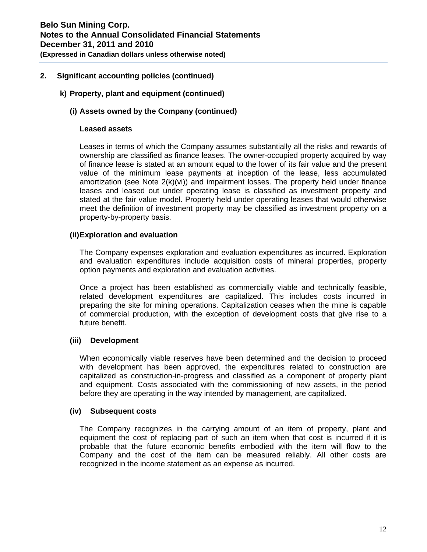# **k) Property, plant and equipment (continued)**

# **(i) Assets owned by the Company (continued)**

#### **Leased assets**

Leases in terms of which the Company assumes substantially all the risks and rewards of ownership are classified as finance leases. The owner-occupied property acquired by way of finance lease is stated at an amount equal to the lower of its fair value and the present value of the minimum lease payments at inception of the lease, less accumulated amortization (see Note 2(k)(vi)) and impairment losses. The property held under finance leases and leased out under operating lease is classified as investment property and stated at the fair value model. Property held under operating leases that would otherwise meet the definition of investment property may be classified as investment property on a property-by-property basis.

### **(ii) Exploration and evaluation**

The Company expenses exploration and evaluation expenditures as incurred. Exploration and evaluation expenditures include acquisition costs of mineral properties, property option payments and exploration and evaluation activities.

Once a project has been established as commercially viable and technically feasible, related development expenditures are capitalized. This includes costs incurred in preparing the site for mining operations. Capitalization ceases when the mine is capable of commercial production, with the exception of development costs that give rise to a future benefit.

# **(iii) Development**

When economically viable reserves have been determined and the decision to proceed with development has been approved, the expenditures related to construction are capitalized as construction-in-progress and classified as a component of property plant and equipment. Costs associated with the commissioning of new assets, in the period before they are operating in the way intended by management, are capitalized.

# **(iv) Subsequent costs**

The Company recognizes in the carrying amount of an item of property, plant and equipment the cost of replacing part of such an item when that cost is incurred if it is probable that the future economic benefits embodied with the item will flow to the Company and the cost of the item can be measured reliably. All other costs are recognized in the income statement as an expense as incurred.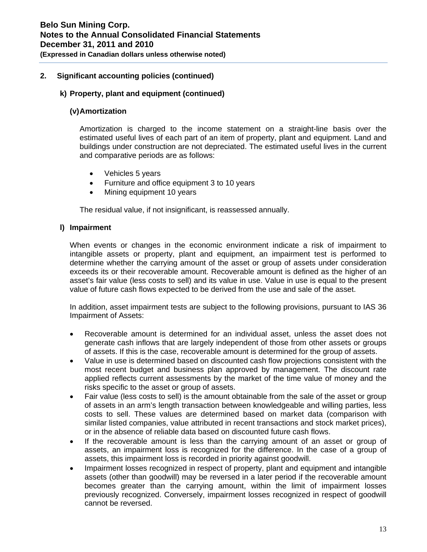# **k) Property, plant and equipment (continued)**

# **(v) Amortization**

Amortization is charged to the income statement on a straight-line basis over the estimated useful lives of each part of an item of property, plant and equipment. Land and buildings under construction are not depreciated. The estimated useful lives in the current and comparative periods are as follows:

- Vehicles 5 years
- Furniture and office equipment 3 to 10 years
- Mining equipment 10 years

The residual value, if not insignificant, is reassessed annually.

### **l) Impairment**

When events or changes in the economic environment indicate a risk of impairment to intangible assets or property, plant and equipment, an impairment test is performed to determine whether the carrying amount of the asset or group of assets under consideration exceeds its or their recoverable amount. Recoverable amount is defined as the higher of an asset's fair value (less costs to sell) and its value in use. Value in use is equal to the present value of future cash flows expected to be derived from the use and sale of the asset.

In addition, asset impairment tests are subject to the following provisions, pursuant to IAS 36 Impairment of Assets:

- Recoverable amount is determined for an individual asset, unless the asset does not generate cash inflows that are largely independent of those from other assets or groups of assets. If this is the case, recoverable amount is determined for the group of assets.
- Value in use is determined based on discounted cash flow projections consistent with the most recent budget and business plan approved by management. The discount rate applied reflects current assessments by the market of the time value of money and the risks specific to the asset or group of assets.
- Fair value (less costs to sell) is the amount obtainable from the sale of the asset or group of assets in an arm's length transaction between knowledgeable and willing parties, less costs to sell. These values are determined based on market data (comparison with similar listed companies, value attributed in recent transactions and stock market prices), or in the absence of reliable data based on discounted future cash flows.
- If the recoverable amount is less than the carrying amount of an asset or group of assets, an impairment loss is recognized for the difference. In the case of a group of assets, this impairment loss is recorded in priority against goodwill.
- Impairment losses recognized in respect of property, plant and equipment and intangible assets (other than goodwill) may be reversed in a later period if the recoverable amount becomes greater than the carrying amount, within the limit of impairment losses previously recognized. Conversely, impairment losses recognized in respect of goodwill cannot be reversed.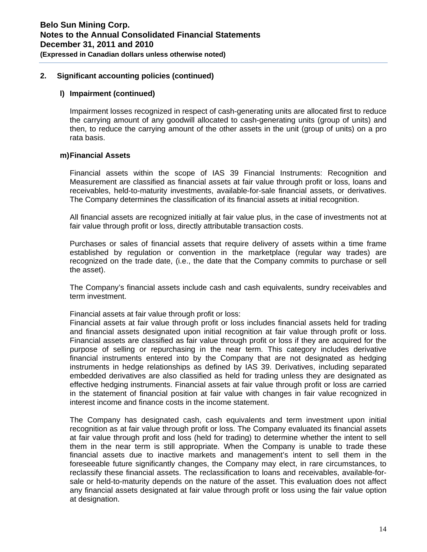#### **l) Impairment (continued)**

Impairment losses recognized in respect of cash-generating units are allocated first to reduce the carrying amount of any goodwill allocated to cash-generating units (group of units) and then, to reduce the carrying amount of the other assets in the unit (group of units) on a pro rata basis.

#### **m) Financial Assets**

Financial assets within the scope of IAS 39 Financial Instruments: Recognition and Measurement are classified as financial assets at fair value through profit or loss, loans and receivables, held-to-maturity investments, available-for-sale financial assets, or derivatives. The Company determines the classification of its financial assets at initial recognition.

All financial assets are recognized initially at fair value plus, in the case of investments not at fair value through profit or loss, directly attributable transaction costs.

Purchases or sales of financial assets that require delivery of assets within a time frame established by regulation or convention in the marketplace (regular way trades) are recognized on the trade date, (i.e., the date that the Company commits to purchase or sell the asset).

The Company's financial assets include cash and cash equivalents, sundry receivables and term investment.

Financial assets at fair value through profit or loss:

Financial assets at fair value through profit or loss includes financial assets held for trading and financial assets designated upon initial recognition at fair value through profit or loss. Financial assets are classified as fair value through profit or loss if they are acquired for the purpose of selling or repurchasing in the near term. This category includes derivative financial instruments entered into by the Company that are not designated as hedging instruments in hedge relationships as defined by IAS 39. Derivatives, including separated embedded derivatives are also classified as held for trading unless they are designated as effective hedging instruments. Financial assets at fair value through profit or loss are carried in the statement of financial position at fair value with changes in fair value recognized in interest income and finance costs in the income statement.

The Company has designated cash, cash equivalents and term investment upon initial recognition as at fair value through profit or loss. The Company evaluated its financial assets at fair value through profit and loss (held for trading) to determine whether the intent to sell them in the near term is still appropriate. When the Company is unable to trade these financial assets due to inactive markets and management's intent to sell them in the foreseeable future significantly changes, the Company may elect, in rare circumstances, to reclassify these financial assets. The reclassification to loans and receivables, available-forsale or held-to-maturity depends on the nature of the asset. This evaluation does not affect any financial assets designated at fair value through profit or loss using the fair value option at designation.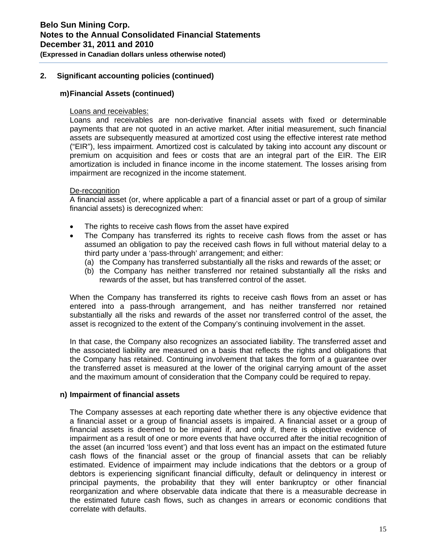### **(Expressed in Canadian dollars unless otherwise noted)**

### **2. Significant accounting policies (continued)**

#### **m) Financial Assets (continued)**

#### Loans and receivables:

Loans and receivables are non-derivative financial assets with fixed or determinable payments that are not quoted in an active market. After initial measurement, such financial assets are subsequently measured at amortized cost using the effective interest rate method ("EIR"), less impairment. Amortized cost is calculated by taking into account any discount or premium on acquisition and fees or costs that are an integral part of the EIR. The EIR amortization is included in finance income in the income statement. The losses arising from impairment are recognized in the income statement.

#### De-recognition

A financial asset (or, where applicable a part of a financial asset or part of a group of similar financial assets) is derecognized when:

- The rights to receive cash flows from the asset have expired
- The Company has transferred its rights to receive cash flows from the asset or has assumed an obligation to pay the received cash flows in full without material delay to a third party under a 'pass-through' arrangement; and either:
	- (a) the Company has transferred substantially all the risks and rewards of the asset; or
	- (b) the Company has neither transferred nor retained substantially all the risks and rewards of the asset, but has transferred control of the asset.

When the Company has transferred its rights to receive cash flows from an asset or has entered into a pass-through arrangement, and has neither transferred nor retained substantially all the risks and rewards of the asset nor transferred control of the asset, the asset is recognized to the extent of the Company's continuing involvement in the asset.

In that case, the Company also recognizes an associated liability. The transferred asset and the associated liability are measured on a basis that reflects the rights and obligations that the Company has retained. Continuing involvement that takes the form of a guarantee over the transferred asset is measured at the lower of the original carrying amount of the asset and the maximum amount of consideration that the Company could be required to repay.

#### **n) Impairment of financial assets**

The Company assesses at each reporting date whether there is any objective evidence that a financial asset or a group of financial assets is impaired. A financial asset or a group of financial assets is deemed to be impaired if, and only if, there is objective evidence of impairment as a result of one or more events that have occurred after the initial recognition of the asset (an incurred 'loss event') and that loss event has an impact on the estimated future cash flows of the financial asset or the group of financial assets that can be reliably estimated. Evidence of impairment may include indications that the debtors or a group of debtors is experiencing significant financial difficulty, default or delinquency in interest or principal payments, the probability that they will enter bankruptcy or other financial reorganization and where observable data indicate that there is a measurable decrease in the estimated future cash flows, such as changes in arrears or economic conditions that correlate with defaults.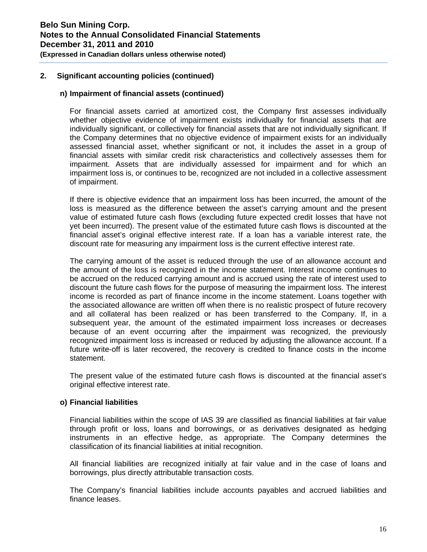#### **n) Impairment of financial assets (continued)**

For financial assets carried at amortized cost, the Company first assesses individually whether objective evidence of impairment exists individually for financial assets that are individually significant, or collectively for financial assets that are not individually significant. If the Company determines that no objective evidence of impairment exists for an individually assessed financial asset, whether significant or not, it includes the asset in a group of financial assets with similar credit risk characteristics and collectively assesses them for impairment. Assets that are individually assessed for impairment and for which an impairment loss is, or continues to be, recognized are not included in a collective assessment of impairment.

If there is objective evidence that an impairment loss has been incurred, the amount of the loss is measured as the difference between the asset's carrying amount and the present value of estimated future cash flows (excluding future expected credit losses that have not yet been incurred). The present value of the estimated future cash flows is discounted at the financial asset's original effective interest rate. If a loan has a variable interest rate, the discount rate for measuring any impairment loss is the current effective interest rate.

The carrying amount of the asset is reduced through the use of an allowance account and the amount of the loss is recognized in the income statement. Interest income continues to be accrued on the reduced carrying amount and is accrued using the rate of interest used to discount the future cash flows for the purpose of measuring the impairment loss. The interest income is recorded as part of finance income in the income statement. Loans together with the associated allowance are written off when there is no realistic prospect of future recovery and all collateral has been realized or has been transferred to the Company. If, in a subsequent year, the amount of the estimated impairment loss increases or decreases because of an event occurring after the impairment was recognized, the previously recognized impairment loss is increased or reduced by adjusting the allowance account. If a future write-off is later recovered, the recovery is credited to finance costs in the income statement.

The present value of the estimated future cash flows is discounted at the financial asset's original effective interest rate.

#### **o) Financial liabilities**

Financial liabilities within the scope of IAS 39 are classified as financial liabilities at fair value through profit or loss, loans and borrowings, or as derivatives designated as hedging instruments in an effective hedge, as appropriate. The Company determines the classification of its financial liabilities at initial recognition.

All financial liabilities are recognized initially at fair value and in the case of loans and borrowings, plus directly attributable transaction costs.

The Company's financial liabilities include accounts payables and accrued liabilities and finance leases.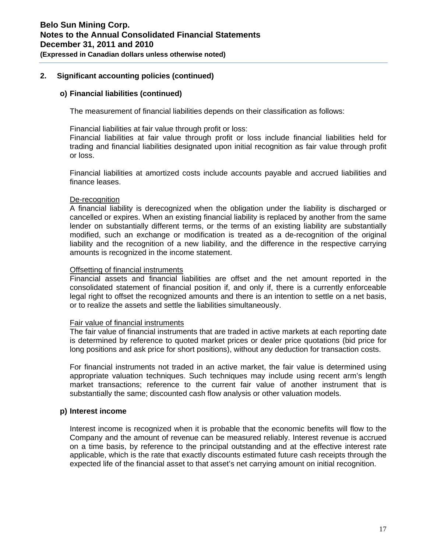#### **o) Financial liabilities (continued)**

The measurement of financial liabilities depends on their classification as follows:

Financial liabilities at fair value through profit or loss:

Financial liabilities at fair value through profit or loss include financial liabilities held for trading and financial liabilities designated upon initial recognition as fair value through profit or loss.

Financial liabilities at amortized costs include accounts payable and accrued liabilities and finance leases.

#### De-recognition

A financial liability is derecognized when the obligation under the liability is discharged or cancelled or expires. When an existing financial liability is replaced by another from the same lender on substantially different terms, or the terms of an existing liability are substantially modified, such an exchange or modification is treated as a de-recognition of the original liability and the recognition of a new liability, and the difference in the respective carrying amounts is recognized in the income statement.

#### Offsetting of financial instruments

Financial assets and financial liabilities are offset and the net amount reported in the consolidated statement of financial position if, and only if, there is a currently enforceable legal right to offset the recognized amounts and there is an intention to settle on a net basis, or to realize the assets and settle the liabilities simultaneously.

#### Fair value of financial instruments

The fair value of financial instruments that are traded in active markets at each reporting date is determined by reference to quoted market prices or dealer price quotations (bid price for long positions and ask price for short positions), without any deduction for transaction costs.

For financial instruments not traded in an active market, the fair value is determined using appropriate valuation techniques. Such techniques may include using recent arm's length market transactions; reference to the current fair value of another instrument that is substantially the same; discounted cash flow analysis or other valuation models.

# **p) Interest income**

Interest income is recognized when it is probable that the economic benefits will flow to the Company and the amount of revenue can be measured reliably. Interest revenue is accrued on a time basis, by reference to the principal outstanding and at the effective interest rate applicable, which is the rate that exactly discounts estimated future cash receipts through the expected life of the financial asset to that asset's net carrying amount on initial recognition.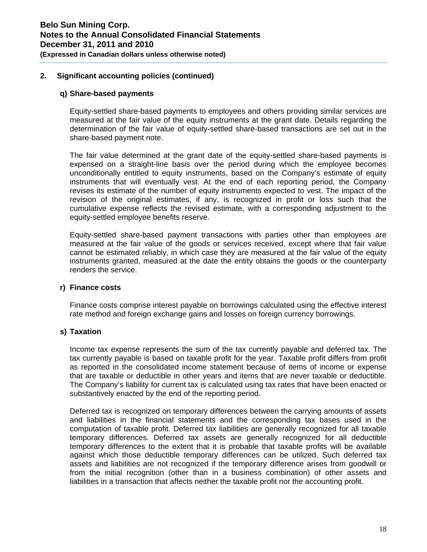#### **q) Share-based payments**

Equity-settled share-based payments to employees and others providing similar services are measured at the fair value of the equity instruments at the grant date. Details regarding the determination of the fair value of equity-settled share-based transactions are set out in the share-based payment note.

The fair value determined at the grant date of the equity-settled share-based payments is expensed on a straight-line basis over the period during which the employee becomes unconditionally entitled to equity instruments, based on the Company's estimate of equity instruments that will eventually vest. At the end of each reporting period, the Company revises its estimate of the number of equity instruments expected to vest. The impact of the revision of the original estimates, if any, is recognized in profit or loss such that the cumulative expense reflects the revised estimate, with a corresponding adjustment to the equity-settled employee benefits reserve.

Equity-settled share-based payment transactions with parties other than employees are measured at the fair value of the goods or services received, except where that fair value cannot be estimated reliably, in which case they are measured at the fair value of the equity instruments granted, measured at the date the entity obtains the goods or the counterparty renders the service.

#### **r) Finance costs**

Finance costs comprise interest payable on borrowings calculated using the effective interest rate method and foreign exchange gains and losses on foreign currency borrowings.

# **s) Taxation**

Income tax expense represents the sum of the tax currently payable and deferred tax. The tax currently payable is based on taxable profit for the year. Taxable profit differs from profit as reported in the consolidated income statement because of items of income or expense that are taxable or deductible in other years and items that are never taxable or deductible. The Company's liability for current tax is calculated using tax rates that have been enacted or substantively enacted by the end of the reporting period.

Deferred tax is recognized on temporary differences between the carrying amounts of assets and liabilities in the financial statements and the corresponding tax bases used in the computation of taxable profit. Deferred tax liabilities are generally recognized for all taxable temporary differences. Deferred tax assets are generally recognized for all deductible temporary differences to the extent that it is probable that taxable profits will be available against which those deductible temporary differences can be utilized. Such deferred tax assets and liabilities are not recognized if the temporary difference arises from goodwill or from the initial recognition (other than in a business combination) of other assets and liabilities in a transaction that affects neither the taxable profit nor the accounting profit.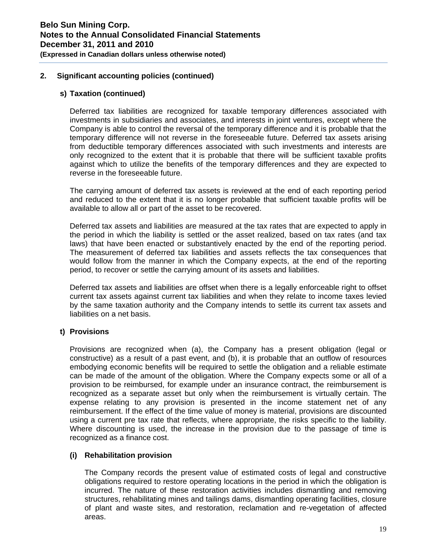#### **s) Taxation (continued)**

Deferred tax liabilities are recognized for taxable temporary differences associated with investments in subsidiaries and associates, and interests in joint ventures, except where the Company is able to control the reversal of the temporary difference and it is probable that the temporary difference will not reverse in the foreseeable future. Deferred tax assets arising from deductible temporary differences associated with such investments and interests are only recognized to the extent that it is probable that there will be sufficient taxable profits against which to utilize the benefits of the temporary differences and they are expected to reverse in the foreseeable future.

The carrying amount of deferred tax assets is reviewed at the end of each reporting period and reduced to the extent that it is no longer probable that sufficient taxable profits will be available to allow all or part of the asset to be recovered.

Deferred tax assets and liabilities are measured at the tax rates that are expected to apply in the period in which the liability is settled or the asset realized, based on tax rates (and tax laws) that have been enacted or substantively enacted by the end of the reporting period. The measurement of deferred tax liabilities and assets reflects the tax consequences that would follow from the manner in which the Company expects, at the end of the reporting period, to recover or settle the carrying amount of its assets and liabilities.

Deferred tax assets and liabilities are offset when there is a legally enforceable right to offset current tax assets against current tax liabilities and when they relate to income taxes levied by the same taxation authority and the Company intends to settle its current tax assets and liabilities on a net basis.

# **t) Provisions**

Provisions are recognized when (a), the Company has a present obligation (legal or constructive) as a result of a past event, and (b), it is probable that an outflow of resources embodying economic benefits will be required to settle the obligation and a reliable estimate can be made of the amount of the obligation. Where the Company expects some or all of a provision to be reimbursed, for example under an insurance contract, the reimbursement is recognized as a separate asset but only when the reimbursement is virtually certain. The expense relating to any provision is presented in the income statement net of any reimbursement. If the effect of the time value of money is material, provisions are discounted using a current pre tax rate that reflects, where appropriate, the risks specific to the liability. Where discounting is used, the increase in the provision due to the passage of time is recognized as a finance cost.

#### **(i) Rehabilitation provision**

The Company records the present value of estimated costs of legal and constructive obligations required to restore operating locations in the period in which the obligation is incurred. The nature of these restoration activities includes dismantling and removing structures, rehabilitating mines and tailings dams, dismantling operating facilities, closure of plant and waste sites, and restoration, reclamation and re-vegetation of affected areas.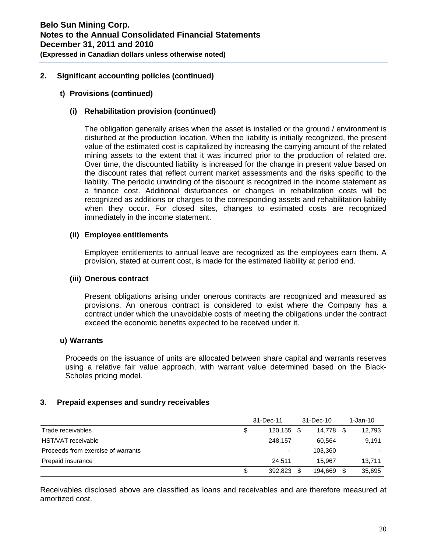#### **t) Provisions (continued)**

### **(i) Rehabilitation provision (continued)**

The obligation generally arises when the asset is installed or the ground / environment is disturbed at the production location. When the liability is initially recognized, the present value of the estimated cost is capitalized by increasing the carrying amount of the related mining assets to the extent that it was incurred prior to the production of related ore. Over time, the discounted liability is increased for the change in present value based on the discount rates that reflect current market assessments and the risks specific to the liability. The periodic unwinding of the discount is recognized in the income statement as a finance cost. Additional disturbances or changes in rehabilitation costs will be recognized as additions or charges to the corresponding assets and rehabilitation liability when they occur. For closed sites, changes to estimated costs are recognized immediately in the income statement.

#### **(ii) Employee entitlements**

Employee entitlements to annual leave are recognized as the employees earn them. A provision, stated at current cost, is made for the estimated liability at period end.

#### **(iii) Onerous contract**

Present obligations arising under onerous contracts are recognized and measured as provisions. An onerous contract is considered to exist where the Company has a contract under which the unavoidable costs of meeting the obligations under the contract exceed the economic benefits expected to be received under it.

#### **u) Warrants**

Proceeds on the issuance of units are allocated between share capital and warrants reserves using a relative fair value approach, with warrant value determined based on the Black-Scholes pricing model.

#### **3. Prepaid expenses and sundry receivables**

|                                    | 31-Dec-11 |            | 31-Dec-10 |           |      | 1-Jan-10 |
|------------------------------------|-----------|------------|-----------|-----------|------|----------|
| Trade receivables                  | \$        | 120,155 \$ |           | 14.778 \$ |      | 12,793   |
| HST/VAT receivable                 |           | 248.157    |           | 60.564    |      | 9.191    |
| Proceeds from exercise of warrants |           | -          |           | 103.360   |      |          |
| Prepaid insurance                  |           | 24.511     |           | 15.967    |      | 13,711   |
|                                    | \$        | 392.823    |           | 194.669   | - \$ | 35,695   |

Receivables disclosed above are classified as loans and receivables and are therefore measured at amortized cost.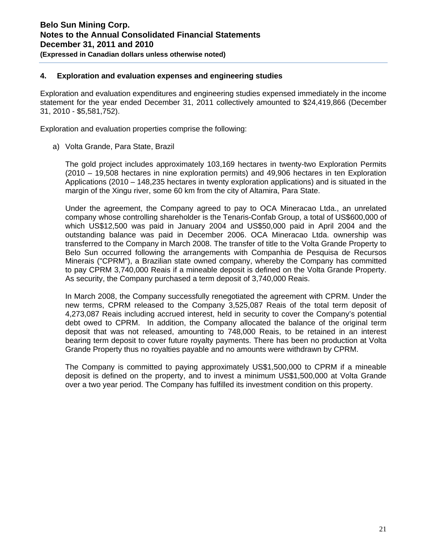# **4. Exploration and evaluation expenses and engineering studies**

Exploration and evaluation expenditures and engineering studies expensed immediately in the income statement for the year ended December 31, 2011 collectively amounted to \$24,419,866 (December 31, 2010 - \$5,581,752).

Exploration and evaluation properties comprise the following:

a) Volta Grande, Para State, Brazil

The gold project includes approximately 103,169 hectares in twenty-two Exploration Permits (2010 – 19,508 hectares in nine exploration permits) and 49,906 hectares in ten Exploration Applications (2010 – 148,235 hectares in twenty exploration applications) and is situated in the margin of the Xingu river, some 60 km from the city of Altamira, Para State.

Under the agreement, the Company agreed to pay to OCA Mineracao Ltda., an unrelated company whose controlling shareholder is the Tenaris-Confab Group, a total of US\$600,000 of which US\$12,500 was paid in January 2004 and US\$50,000 paid in April 2004 and the outstanding balance was paid in December 2006. OCA Mineracao Ltda. ownership was transferred to the Company in March 2008. The transfer of title to the Volta Grande Property to Belo Sun occurred following the arrangements with Companhia de Pesquisa de Recursos Minerais ("CPRM"), a Brazilian state owned company, whereby the Company has committed to pay CPRM 3,740,000 Reais if a mineable deposit is defined on the Volta Grande Property. As security, the Company purchased a term deposit of 3,740,000 Reais.

In March 2008, the Company successfully renegotiated the agreement with CPRM. Under the new terms, CPRM released to the Company 3,525,087 Reais of the total term deposit of 4,273,087 Reais including accrued interest, held in security to cover the Company's potential debt owed to CPRM. In addition, the Company allocated the balance of the original term deposit that was not released, amounting to 748,000 Reais, to be retained in an interest bearing term deposit to cover future royalty payments. There has been no production at Volta Grande Property thus no royalties payable and no amounts were withdrawn by CPRM.

The Company is committed to paying approximately US\$1,500,000 to CPRM if a mineable deposit is defined on the property, and to invest a minimum US\$1,500,000 at Volta Grande over a two year period. The Company has fulfilled its investment condition on this property.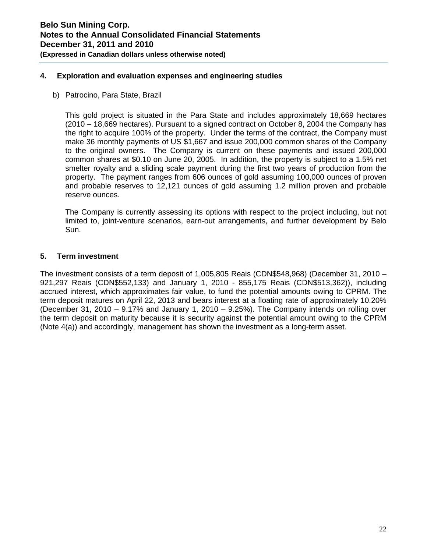# **4. Exploration and evaluation expenses and engineering studies**

b) Patrocino, Para State, Brazil

This gold project is situated in the Para State and includes approximately 18,669 hectares (2010 – 18,669 hectares). Pursuant to a signed contract on October 8, 2004 the Company has the right to acquire 100% of the property. Under the terms of the contract, the Company must make 36 monthly payments of US \$1,667 and issue 200,000 common shares of the Company to the original owners. The Company is current on these payments and issued 200,000 common shares at \$0.10 on June 20, 2005. In addition, the property is subject to a 1.5% net smelter royalty and a sliding scale payment during the first two years of production from the property. The payment ranges from 606 ounces of gold assuming 100,000 ounces of proven and probable reserves to 12,121 ounces of gold assuming 1.2 million proven and probable reserve ounces.

The Company is currently assessing its options with respect to the project including, but not limited to, joint-venture scenarios, earn-out arrangements, and further development by Belo Sun.

### **5. Term investment**

The investment consists of a term deposit of 1,005,805 Reais (CDN\$548,968) (December 31, 2010 – 921,297 Reais (CDN\$552,133) and January 1, 2010 - 855,175 Reais (CDN\$513,362)), including accrued interest, which approximates fair value, to fund the potential amounts owing to CPRM. The term deposit matures on April 22, 2013 and bears interest at a floating rate of approximately 10.20% (December 31, 2010 – 9.17% and January 1, 2010 – 9.25%). The Company intends on rolling over the term deposit on maturity because it is security against the potential amount owing to the CPRM (Note 4(a)) and accordingly, management has shown the investment as a long-term asset.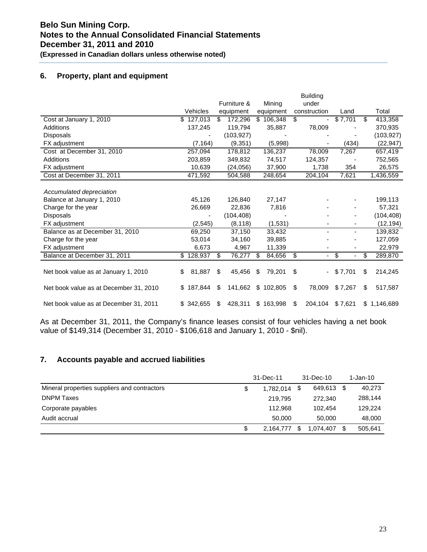# **6. Property, plant and equipment**

|                                        |              |               |               | <b>Building</b>                |         |                |
|----------------------------------------|--------------|---------------|---------------|--------------------------------|---------|----------------|
|                                        |              | Furniture &   | Mining        | under                          |         |                |
|                                        | Vehicles     | equipment     | equipment     | construction                   | Land    | Total          |
| Cost at January 1, 2010                | \$127,013    | 172,296<br>\$ | \$106,348     | \$<br>$\overline{\phantom{a}}$ | \$7,701 | 413,358<br>S   |
| Additions                              | 137,245      | 119.794       | 35,887        | 78,009                         |         | 370.935        |
| <b>Disposals</b>                       |              | (103, 927)    |               |                                |         | (103, 927)     |
| FX adjustment                          | (7, 164)     | (9,351)       | (5,998)       |                                | (434)   | (22, 947)      |
| Cost at December 31, 2010              | 257,094      | 178,812       | 136,237       | 78,009                         | 7,267   | 657,419        |
| Additions                              | 203,859      | 349,832       | 74,517        | 124,357                        |         | 752,565        |
| FX adjustment                          | 10.639       | (24, 056)     | 37,900        | 1,738                          | 354     | 26,575         |
| Cost at December 31, 2011              | 471,592      | 504,588       | 248,654       | 204,104                        | 7,621   | 1,436,559      |
|                                        |              |               |               |                                |         |                |
| Accumulated depreciation               |              |               |               |                                |         |                |
| Balance at January 1, 2010             | 45,126       | 126,840       | 27,147        |                                |         | 199,113        |
| Charge for the year                    | 26,669       | 22,836        | 7,816         |                                |         | 57,321         |
| <b>Disposals</b>                       |              | (104, 408)    |               |                                |         | (104, 408)     |
| FX adjustment                          | (2, 545)     | (8, 118)      | (1,531)       |                                |         | (12, 194)      |
| Balance as at December 31, 2010        | 69,250       | 37,150        | 33,432        |                                |         | 139,832        |
| Charge for the year                    | 53,014       | 34,160        | 39,885        |                                |         | 127,059        |
| FX adjustment                          | 6.673        | 4,967         | 11.339        |                                |         | 22,979         |
| Balance at December 31, 2011           | \$128,937    | \$<br>76,277  | 84,656<br>\$. | \$<br>$\blacksquare$           | \$      | \$<br>289,870  |
|                                        |              |               |               |                                |         |                |
| Net book value as at January 1, 2010   | 81,887<br>\$ | \$<br>45,456  | 79,201<br>\$. | \$                             | \$7,701 | 214,245<br>\$  |
|                                        |              |               |               |                                |         |                |
| Net book value as at December 31, 2010 | \$187,844    | 141,662<br>\$ | \$<br>102.805 | \$<br>78,009                   | \$7,267 | 517,587<br>\$. |
|                                        |              |               |               |                                |         |                |
| Net book value as at December 31, 2011 | \$342,655    | 428,311<br>\$ | \$163,998     | \$<br>204,104                  | \$7,621 | \$1,146,689    |

As at December 31, 2011, the Company's finance leases consist of four vehicles having a net book value of \$149,314 (December 31, 2010 - \$106,618 and January 1, 2010 - \$nil).

# **7. Accounts payable and accrued liabilities**

|                                              | 31-Dec-11 |           |    | 31-Dec-10  | 1-Jan-10      |
|----------------------------------------------|-----------|-----------|----|------------|---------------|
| Mineral properties suppliers and contractors | \$        | 1.782.014 | \$ | 649,613 \$ | 40,273        |
| <b>DNPM Taxes</b>                            |           | 219.795   |    | 272.340    | 288,144       |
| Corporate payables                           |           | 112.968   |    | 102.454    | 129.224       |
| Audit accrual                                |           | 50,000    |    | 50,000     | 48,000        |
|                                              | \$        | 2,164,777 | \$ | 1.074.407  | \$<br>505,641 |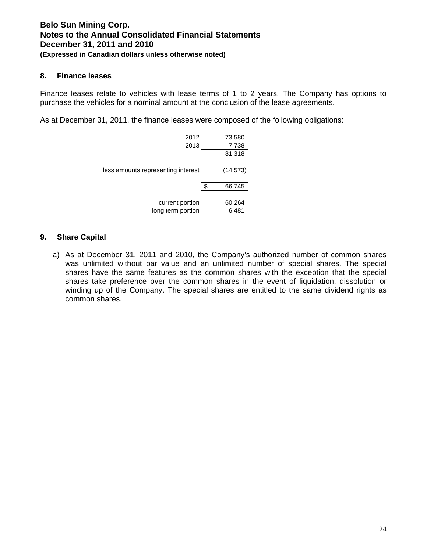### **8. Finance leases**

Finance leases relate to vehicles with lease terms of 1 to 2 years. The Company has options to purchase the vehicles for a nominal amount at the conclusion of the lease agreements.

As at December 31, 2011, the finance leases were composed of the following obligations:

| 2012<br>2013                         | 73,580<br>7,738<br>81,318 |
|--------------------------------------|---------------------------|
| less amounts representing interest   | (14, 573)                 |
|                                      | \$<br>66,745              |
| current portion<br>long term portion | 60,264<br>6,481           |

# **9. Share Capital**

a) As at December 31, 2011 and 2010, the Company's authorized number of common shares was unlimited without par value and an unlimited number of special shares. The special shares have the same features as the common shares with the exception that the special shares take preference over the common shares in the event of liquidation, dissolution or winding up of the Company. The special shares are entitled to the same dividend rights as common shares.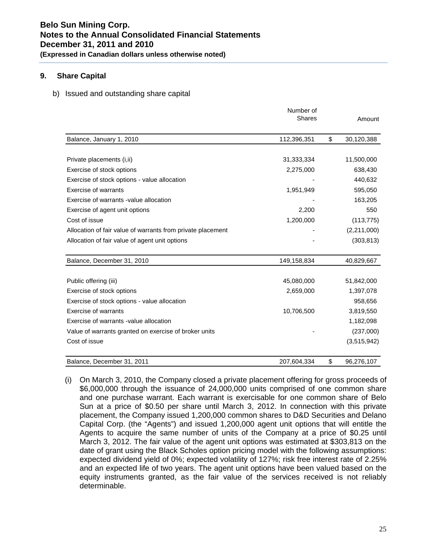# **9. Share Capital**

b) Issued and outstanding share capital

|                                                             | Number of<br><b>Shares</b> | Amount           |
|-------------------------------------------------------------|----------------------------|------------------|
| Balance, January 1, 2010                                    | 112,396,351                | \$<br>30,120,388 |
|                                                             |                            |                  |
| Private placements (i, ii)                                  | 31,333,334                 | 11,500,000       |
| Exercise of stock options                                   | 2,275,000                  | 638,430          |
| Exercise of stock options - value allocation                |                            | 440,632          |
| Exercise of warrants                                        | 1,951,949                  | 595,050          |
| Exercise of warrants -value allocation                      |                            | 163,205          |
| Exercise of agent unit options                              | 2,200                      | 550              |
| Cost of issue                                               | 1,200,000                  | (113, 775)       |
| Allocation of fair value of warrants from private placement |                            | (2,211,000)      |
| Allocation of fair value of agent unit options              |                            | (303, 813)       |
| Balance, December 31, 2010                                  | 149,158,834                | 40,829,667       |
| Public offering (iii)                                       | 45,080,000                 | 51,842,000       |
| Exercise of stock options                                   | 2,659,000                  | 1,397,078        |
| Exercise of stock options - value allocation                |                            | 958,656          |
| <b>Exercise of warrants</b>                                 | 10,706,500                 | 3,819,550        |
| Exercise of warrants -value allocation                      |                            | 1,182,098        |
| Value of warrants granted on exercise of broker units       |                            | (237,000)        |
| Cost of issue                                               |                            | (3,515,942)      |
| Balance, December 31, 2011                                  | 207,604,334                | \$<br>96,276,107 |

(i) On March 3, 2010, the Company closed a private placement offering for gross proceeds of \$6,000,000 through the issuance of 24,000,000 units comprised of one common share and one purchase warrant. Each warrant is exercisable for one common share of Belo Sun at a price of \$0.50 per share until March 3, 2012. In connection with this private placement, the Company issued 1,200,000 common shares to D&D Securities and Delano Capital Corp. (the "Agents") and issued 1,200,000 agent unit options that will entitle the Agents to acquire the same number of units of the Company at a price of \$0.25 until March 3, 2012. The fair value of the agent unit options was estimated at \$303,813 on the date of grant using the Black Scholes option pricing model with the following assumptions: expected dividend yield of 0%; expected volatility of 127%; risk free interest rate of 2.25% and an expected life of two years. The agent unit options have been valued based on the equity instruments granted, as the fair value of the services received is not reliably determinable.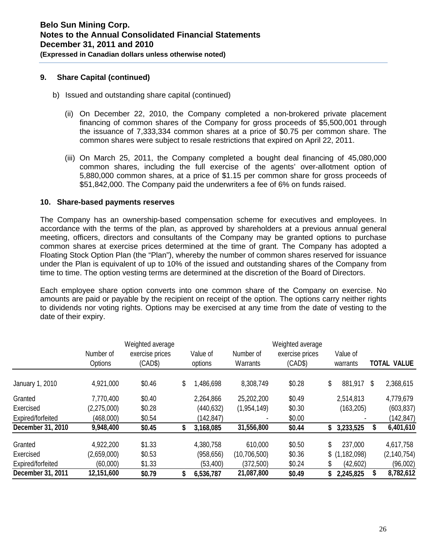### **9. Share Capital (continued)**

- b) Issued and outstanding share capital (continued)
	- (ii) On December 22, 2010, the Company completed a non-brokered private placement financing of common shares of the Company for gross proceeds of \$5,500,001 through the issuance of 7,333,334 common shares at a price of \$0.75 per common share. The common shares were subject to resale restrictions that expired on April 22, 2011.
	- (iii) On March 25, 2011, the Company completed a bought deal financing of 45,080,000 common shares, including the full exercise of the agents' over-allotment option of 5,880,000 common shares, at a price of \$1.15 per common share for gross proceeds of \$51,842,000. The Company paid the underwriters a fee of 6% on funds raised.

### **10. Share-based payments reserves**

The Company has an ownership-based compensation scheme for executives and employees. In accordance with the terms of the plan, as approved by shareholders at a previous annual general meeting, officers, directors and consultants of the Company may be granted options to purchase common shares at exercise prices determined at the time of grant. The Company has adopted a Floating Stock Option Plan (the "Plan"), whereby the number of common shares reserved for issuance under the Plan is equivalent of up to 10% of the issued and outstanding shares of the Company from time to time. The option vesting terms are determined at the discretion of the Board of Directors.

Each employee share option converts into one common share of the Company on exercise. No amounts are paid or payable by the recipient on receipt of the option. The options carry neither rights to dividends nor voting rights. Options may be exercised at any time from the date of vesting to the date of their expiry.

|                   | Number of<br>Options | Weighted average<br>exercise prices<br>(CAD\$) | Value of<br>options | Number of<br>Warrants | Weighted average<br>exercise prices<br>(CAD\$) |    | Value of<br>warrants | <b>TOTAL VALUE</b> |
|-------------------|----------------------|------------------------------------------------|---------------------|-----------------------|------------------------------------------------|----|----------------------|--------------------|
| January 1, 2010   | 4,921,000            | \$0.46                                         | \$<br>.486,698      | 8,308,749             | \$0.28                                         | \$ | 881,917              | \$<br>2,368,615    |
| Granted           | 7,770,400            | \$0.40                                         | 2,264,866           | 25,202,200            | \$0.49                                         |    | 2,514,813            | 4,779,679          |
| Exercised         | (2,275,000)          | \$0.28                                         | (440, 632)          | (1,954,149)           | \$0.30                                         |    | (163, 205)           | (603, 837)         |
| Expired/forfeited | (468,000)            | \$0.54                                         | (142,847)           |                       | \$0.00                                         |    |                      | (142, 847)         |
| December 31, 2010 | 9,948,400            | \$0.45                                         | 3,168,085           | 31,556,800            | \$0.44                                         | S  | 3,233,525            | 6,401,610          |
| Granted           | 4,922,200            | \$1.33                                         | 4,380,758           | 610,000               | \$0.50                                         |    | 237,000              | 4,617,758          |
| Exercised         | (2,659,000)          | \$0.53                                         | (958, 656)          | (10,706,500)          | \$0.36                                         |    | $$$ (1,182,098)      | (2, 140, 754)      |
| Expired/forfeited | (60,000)             | \$1.33                                         | (53, 400)           | (372,500)             | \$0.24                                         |    | (42,602)             | (96,002)           |
| December 31, 2011 | 12,151,600           | \$0.79                                         | 6,536,787           | 21,087,800            | \$0.49                                         | S  | 2,245,825            | 8,782,612          |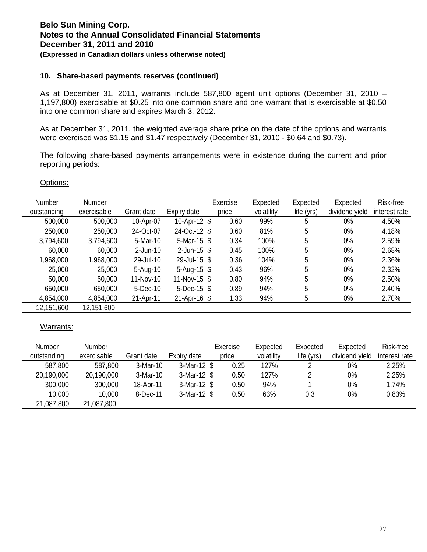# **10. Share-based payments reserves (continued)**

As at December 31, 2011, warrants include 587,800 agent unit options (December 31, 2010 – 1,197,800) exercisable at \$0.25 into one common share and one warrant that is exercisable at \$0.50 into one common share and expires March 3, 2012.

As at December 31, 2011, the weighted average share price on the date of the options and warrants were exercised was \$1.15 and \$1.47 respectively (December 31, 2010 - \$0.64 and \$0.73).

The following share-based payments arrangements were in existence during the current and prior reporting periods:

#### Options:

| <b>Number</b> | <b>Number</b> |             |                 | Exercise | Expected   | Expected   | Expected       | Risk-free     |
|---------------|---------------|-------------|-----------------|----------|------------|------------|----------------|---------------|
| outstanding   | exercisable   | Grant date  | Expiry date     | price    | volatility | life (yrs) | dividend yield | interest rate |
| 500,000       | 500,000       | 10-Apr-07   | 10-Apr-12 \$    | 0.60     | 99%        | 5          | $0\%$          | 4.50%         |
| 250,000       | 250,000       | 24-Oct-07   | 24-Oct-12 \$    | 0.60     | 81%        | 5          | $0\%$          | 4.18%         |
| 3,794,600     | 3,794,600     | 5-Mar-10    | 5-Mar-15 $$$    | 0.34     | 100%       | 5          | $0\%$          | 2.59%         |
| 60,000        | 60,000        | $2$ -Jun-10 | $2$ -Jun-15 $$$ | 0.45     | 100%       | 5          | $0\%$          | 2.68%         |
| 1,968,000     | 1,968,000     | 29-Jul-10   | 29-Jul-15 \$    | 0.36     | 104%       | 5          | $0\%$          | 2.36%         |
| 25,000        | 25,000        | 5-Aug-10    | 5-Aug-15 $$$    | 0.43     | 96%        | 5          | $0\%$          | 2.32%         |
| 50,000        | 50,000        | 11-Nov-10   | 11-Nov-15 \$    | 0.80     | 94%        | 5          | $0\%$          | 2.50%         |
| 650,000       | 650,000       | 5-Dec-10    | $5$ -Dec-15 \$  | 0.89     | 94%        | 5          | $0\%$          | 2.40%         |
| 4,854,000     | 4,854,000     | 21-Apr-11   | $21-Apr-16$ \$  | 1.33     | 94%        | 5          | $0\%$          | 2.70%         |
| 12,151,600    | 12,151,600    |             |                 |          |            |            |                |               |

#### Warrants:

| <b>Number</b> | Number      |            |               | Exercise | Expected   | Expected   | Expected       | Risk-free     |
|---------------|-------------|------------|---------------|----------|------------|------------|----------------|---------------|
| outstanding   | exercisable | Grant date | Expiry date   | price    | volatility | life (yrs) | dividend yield | interest rate |
| 587,800       | 587,800     | 3-Mar-10   | $3-Mar-12$ \$ | 0.25     | 127%       |            | 0%             | 2.25%         |
| 20,190,000    | 20,190,000  | 3-Mar-10   | $3-Mar-12$ \$ | 0.50     | 127%       |            | 0%             | 2.25%         |
| 300,000       | 300,000     | 18-Apr-11  | $3-Mar-12$ \$ | 0.50     | 94%        |            | 0%             | 1.74%         |
| 10,000        | 10,000      | 8-Dec-11   | $3-Mar-12$ \$ | 0.50     | 63%        | 0.3        | $0\%$          | 0.83%         |
| 21,087,800    | 21,087,800  |            |               |          |            |            |                |               |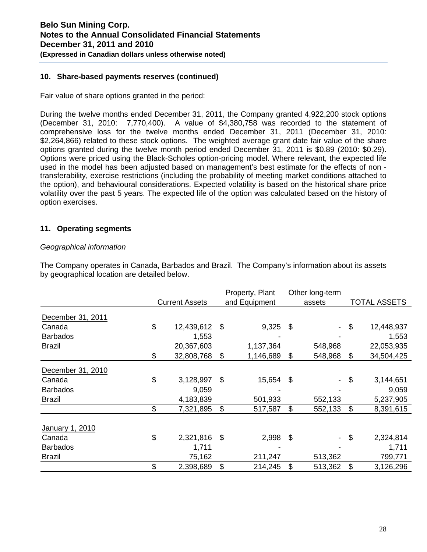# **10. Share-based payments reserves (continued)**

Fair value of share options granted in the period:

During the twelve months ended December 31, 2011, the Company granted 4,922,200 stock options (December 31, 2010: 7,770,400). A value of \$4,380,758 was recorded to the statement of comprehensive loss for the twelve months ended December 31, 2011 (December 31, 2010: \$2,264,866) related to these stock options. The weighted average grant date fair value of the share options granted during the twelve month period ended December 31, 2011 is \$0.89 (2010: \$0.29). Options were priced using the Black-Scholes option-pricing model. Where relevant, the expected life used in the model has been adjusted based on management's best estimate for the effects of non transferability, exercise restrictions (including the probability of meeting market conditions attached to the option), and behavioural considerations. Expected volatility is based on the historical share price volatility over the past 5 years. The expected life of the option was calculated based on the history of option exercises.

# **11. Operating segments**

### *Geographical information*

The Company operates in Canada, Barbados and Brazil. The Company's information about its assets by geographical location are detailed below.

|                   |                       | Property, Plant  |                           | Other long-term |                           |              |  |
|-------------------|-----------------------|------------------|---------------------------|-----------------|---------------------------|--------------|--|
|                   | <b>Current Assets</b> | and Equipment    |                           | assets          |                           | TOTAL ASSETS |  |
| December 31, 2011 |                       |                  |                           |                 |                           |              |  |
| Canada            | \$<br>12,439,612      | \$<br>$9,325$ \$ |                           |                 | $\boldsymbol{\mathsf{S}}$ | 12,448,937   |  |
| <b>Barbados</b>   | 1,553                 |                  |                           |                 |                           | 1,553        |  |
| <b>Brazil</b>     | 20,367,603            | 1,137,364        |                           | 548,968         |                           | 22,053,935   |  |
|                   | \$<br>32,808,768      | \$<br>1,146,689  | \$                        | 548,968         | \$                        | 34,504,425   |  |
| December 31, 2010 |                       |                  |                           |                 |                           |              |  |
| Canada            | \$<br>3,128,997       | \$<br>15,654     | $\boldsymbol{\mathsf{S}}$ | $\sim$          | \$                        | 3,144,651    |  |
| <b>Barbados</b>   | 9,059                 |                  |                           |                 |                           | 9,059        |  |
| <b>Brazil</b>     | 4,183,839             | 501,933          |                           | 552,133         |                           | 5,237,905    |  |
|                   | \$<br>7,321,895       | \$<br>517,587    | \$                        | 552,133         | \$                        | 8,391,615    |  |
| January 1, 2010   |                       |                  |                           |                 |                           |              |  |
| Canada            | \$<br>2,321,816       | \$<br>2,998      | $\boldsymbol{\mathsf{S}}$ |                 | $\boldsymbol{\mathsf{S}}$ | 2,324,814    |  |
| <b>Barbados</b>   | 1,711                 |                  |                           |                 |                           | 1,711        |  |
| <b>Brazil</b>     | 75,162                | 211,247          |                           | 513,362         |                           | 799,771      |  |
|                   | \$<br>2,398,689       | \$<br>214,245    | \$                        | 513,362         | \$                        | 3,126,296    |  |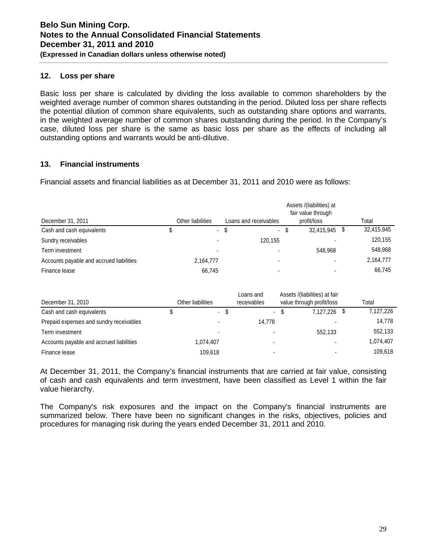# **12. Loss per share**

Basic loss per share is calculated by dividing the loss available to common shareholders by the weighted average number of common shares outstanding in the period. Diluted loss per share reflects the potential dilution of common share equivalents, such as outstanding share options and warrants, in the weighted average number of common shares outstanding during the period. In the Company's case, diluted loss per share is the same as basic loss per share as the effects of including all outstanding options and warrants would be anti-dilutive.

# **13. Financial instruments**

Financial assets and financial liabilities as at December 31, 2011 and 2010 were as follows:

|                                          |                           |      |                          |      | Assets /(liabilities) at<br>fair value through |            |
|------------------------------------------|---------------------------|------|--------------------------|------|------------------------------------------------|------------|
| December 31, 2011                        | Other liabilities         |      | Loans and receivables    |      | profit/loss                                    | Total      |
| Cash and cash equivalents                | $\mathbb{Z}^{\mathbb{Z}}$ | - \$ | $\sim$                   | - \$ | 32,415,945 \$                                  | 32,415,945 |
| Sundry receivables                       |                           |      | 120.155                  |      |                                                | 120,155    |
| Term investment                          |                           |      |                          |      | 548.968                                        | 548,968    |
| Accounts payable and accrued liabilities | 2,164,777                 |      | $\overline{\phantom{0}}$ |      |                                                | 2,164,777  |
| Finance lease                            | 66.745                    |      |                          |      |                                                | 66.745     |

| December 31, 2010                        | Other liabilities |      | Loans and<br>receivables | Assets /(liabilities) at fair<br>value through profit/loss | Total     |
|------------------------------------------|-------------------|------|--------------------------|------------------------------------------------------------|-----------|
| Cash and cash equivalents                | $\blacksquare$    | - \$ | $\sim$                   | \$<br>7.127.226 \$                                         | 7,127,226 |
| Prepaid expenses and sundry receivables  |                   |      | 14.778                   |                                                            | 14.778    |
| Term investment                          | $\blacksquare$    |      |                          | 552.133                                                    | 552,133   |
| Accounts payable and accrued liabilities | 1.074.407         |      |                          |                                                            | 1,074,407 |
| Finance lease                            | 109.618           |      |                          |                                                            | 109.618   |

At December 31, 2011, the Company's financial instruments that are carried at fair value, consisting of cash and cash equivalents and term investment, have been classified as Level 1 within the fair value hierarchy.

The Company's risk exposures and the impact on the Company's financial instruments are summarized below. There have been no significant changes in the risks, objectives, policies and procedures for managing risk during the years ended December 31, 2011 and 2010.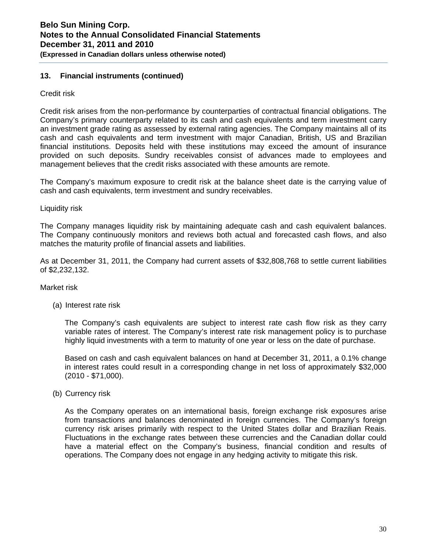# **13. Financial instruments (continued)**

Credit risk

Credit risk arises from the non-performance by counterparties of contractual financial obligations. The Company's primary counterparty related to its cash and cash equivalents and term investment carry an investment grade rating as assessed by external rating agencies. The Company maintains all of its cash and cash equivalents and term investment with major Canadian, British, US and Brazilian financial institutions. Deposits held with these institutions may exceed the amount of insurance provided on such deposits. Sundry receivables consist of advances made to employees and management believes that the credit risks associated with these amounts are remote.

The Company's maximum exposure to credit risk at the balance sheet date is the carrying value of cash and cash equivalents, term investment and sundry receivables.

Liquidity risk

The Company manages liquidity risk by maintaining adequate cash and cash equivalent balances. The Company continuously monitors and reviews both actual and forecasted cash flows, and also matches the maturity profile of financial assets and liabilities.

As at December 31, 2011, the Company had current assets of \$32,808,768 to settle current liabilities of \$2,232,132.

#### Market risk

(a) Interest rate risk

The Company's cash equivalents are subject to interest rate cash flow risk as they carry variable rates of interest. The Company's interest rate risk management policy is to purchase highly liquid investments with a term to maturity of one year or less on the date of purchase.

Based on cash and cash equivalent balances on hand at December 31, 2011, a 0.1% change in interest rates could result in a corresponding change in net loss of approximately \$32,000 (2010 - \$71,000).

(b) Currency risk

As the Company operates on an international basis, foreign exchange risk exposures arise from transactions and balances denominated in foreign currencies. The Company's foreign currency risk arises primarily with respect to the United States dollar and Brazilian Reais. Fluctuations in the exchange rates between these currencies and the Canadian dollar could have a material effect on the Company's business, financial condition and results of operations. The Company does not engage in any hedging activity to mitigate this risk.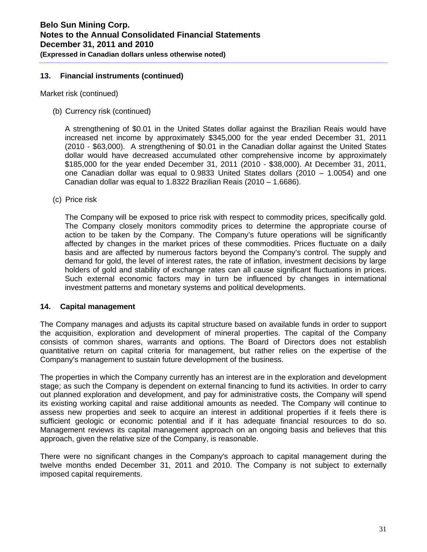# **13. Financial instruments (continued)**

Market risk (continued)

(b) Currency risk (continued)

A strengthening of \$0.01 in the United States dollar against the Brazilian Reais would have increased net income by approximately \$345,000 for the year ended December 31, 2011 (2010 - \$63,000). A strengthening of \$0.01 in the Canadian dollar against the United States dollar would have decreased accumulated other comprehensive income by approximately \$185,000 for the year ended December 31, 2011 (2010 - \$38,000). At December 31, 2011, one Canadian dollar was equal to 0.9833 United States dollars (2010 – 1.0054) and one Canadian dollar was equal to 1.8322 Brazilian Reais (2010 – 1.6686).

(c) Price risk

The Company will be exposed to price risk with respect to commodity prices, specifically gold. The Company closely monitors commodity prices to determine the appropriate course of action to be taken by the Company. The Company's future operations will be significantly affected by changes in the market prices of these commodities. Prices fluctuate on a daily basis and are affected by numerous factors beyond the Company's control. The supply and demand for gold, the level of interest rates, the rate of inflation, investment decisions by large holders of gold and stability of exchange rates can all cause significant fluctuations in prices. Such external economic factors may in turn be influenced by changes in international investment patterns and monetary systems and political developments.

#### **14. Capital management**

The Company manages and adjusts its capital structure based on available funds in order to support the acquisition, exploration and development of mineral properties. The capital of the Company consists of common shares, warrants and options. The Board of Directors does not establish quantitative return on capital criteria for management, but rather relies on the expertise of the Company's management to sustain future development of the business.

The properties in which the Company currently has an interest are in the exploration and development stage; as such the Company is dependent on external financing to fund its activities. In order to carry out planned exploration and development, and pay for administrative costs, the Company will spend its existing working capital and raise additional amounts as needed. The Company will continue to assess new properties and seek to acquire an interest in additional properties if it feels there is sufficient geologic or economic potential and if it has adequate financial resources to do so. Management reviews its capital management approach on an ongoing basis and believes that this approach, given the relative size of the Company, is reasonable.

There were no significant changes in the Company's approach to capital management during the twelve months ended December 31, 2011 and 2010. The Company is not subject to externally imposed capital requirements.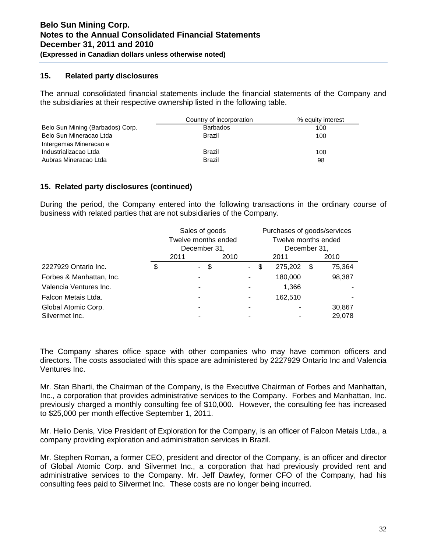# **15. Related party disclosures**

The annual consolidated financial statements include the financial statements of the Company and the subsidiaries at their respective ownership listed in the following table.

|                                  | Country of incorporation | % equity interest |
|----------------------------------|--------------------------|-------------------|
| Belo Sun Mining (Barbados) Corp. | <b>Barbados</b>          | 100               |
| Belo Sun Mineracao Ltda          | Brazil                   | 100               |
| Intergemas Mineracao e           |                          |                   |
| Industrializacao Ltda            | Brazil                   | 100               |
| Aubras Mineracao Ltda            | <b>Brazil</b>            | 98                |

# **15. Related party disclosures (continued)**

During the period, the Company entered into the following transactions in the ordinary course of business with related parties that are not subsidiaries of the Company.

|                          | Sales of goods<br>Twelve months ended |      |      |        |              |         |    | Purchases of goods/services<br>Twelve months ended |  |
|--------------------------|---------------------------------------|------|------|--------|--------------|---------|----|----------------------------------------------------|--|
|                          | December 31,                          |      |      |        | December 31, |         |    |                                                    |  |
|                          | 2011                                  |      | 2010 |        |              | 2011    |    | 2010                                               |  |
| 2227929 Ontario Inc.     | \$<br>$\sim$                          | - \$ |      | $\sim$ | \$           | 275,202 | S. | 75,364                                             |  |
| Forbes & Manhattan, Inc. |                                       |      |      |        |              | 180,000 |    | 98,387                                             |  |
| Valencia Ventures Inc.   |                                       |      |      |        |              | 1,366   |    |                                                    |  |
| Falcon Metais Ltda.      |                                       |      |      |        |              | 162,510 |    |                                                    |  |
| Global Atomic Corp.      |                                       |      |      |        |              |         |    | 30,867                                             |  |
| Silvermet Inc.           |                                       |      |      |        |              |         |    | 29,078                                             |  |

The Company shares office space with other companies who may have common officers and directors. The costs associated with this space are administered by 2227929 Ontario Inc and Valencia Ventures Inc.

Mr. Stan Bharti, the Chairman of the Company, is the Executive Chairman of Forbes and Manhattan, Inc., a corporation that provides administrative services to the Company. Forbes and Manhattan, Inc. previously charged a monthly consulting fee of \$10,000. However, the consulting fee has increased to \$25,000 per month effective September 1, 2011.

Mr. Helio Denis, Vice President of Exploration for the Company, is an officer of Falcon Metais Ltda., a company providing exploration and administration services in Brazil.

Mr. Stephen Roman, a former CEO, president and director of the Company, is an officer and director of Global Atomic Corp. and Silvermet Inc., a corporation that had previously provided rent and administrative services to the Company. Mr. Jeff Dawley, former CFO of the Company, had his consulting fees paid to Silvermet Inc. These costs are no longer being incurred.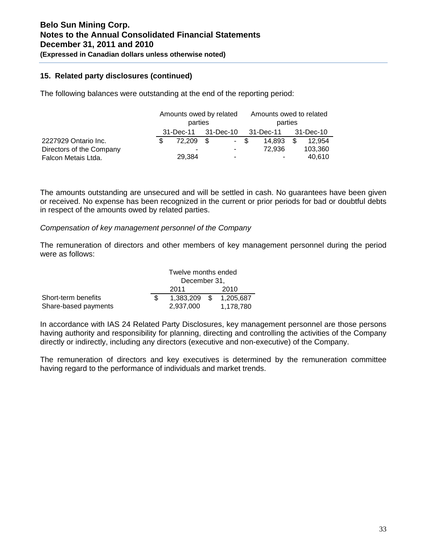# **15. Related party disclosures (continued)**

The following balances were outstanding at the end of the reporting period:

|                          | Amounts owed by related |  |      |         | Amounts owed to related  |     |           |  |
|--------------------------|-------------------------|--|------|---------|--------------------------|-----|-----------|--|
|                          | parties                 |  |      | parties |                          |     |           |  |
|                          | 31-Dec-11 31-Dec-10     |  |      |         | 31-Dec-11                |     | 31-Dec-10 |  |
| 2227929 Ontario Inc.     | 72.209 \$               |  | - \$ |         | 14.893                   | \$. | 12.954    |  |
| Directors of the Company |                         |  | ۰    |         | 72.936                   |     | 103,360   |  |
| Falcon Metais Ltda.      | 29,384                  |  | ۰    |         | $\overline{\phantom{a}}$ |     | 40,610    |  |

The amounts outstanding are unsecured and will be settled in cash. No guarantees have been given or received. No expense has been recognized in the current or prior periods for bad or doubtful debts in respect of the amounts owed by related parties.

### *Compensation of key management personnel of the Company*

The remuneration of directors and other members of key management personnel during the period were as follows:

|                      |              | Twelve months ended |  |                        |  |  |  |  |
|----------------------|--------------|---------------------|--|------------------------|--|--|--|--|
|                      |              | December 31,        |  |                        |  |  |  |  |
|                      | 2010<br>2011 |                     |  |                        |  |  |  |  |
| Short-term benefits  |              |                     |  | 1,383,209 \$ 1,205,687 |  |  |  |  |
| Share-based payments |              | 2.937.000           |  | 1,178,780              |  |  |  |  |

In accordance with IAS 24 Related Party Disclosures, key management personnel are those persons having authority and responsibility for planning, directing and controlling the activities of the Company directly or indirectly, including any directors (executive and non-executive) of the Company.

The remuneration of directors and key executives is determined by the remuneration committee having regard to the performance of individuals and market trends.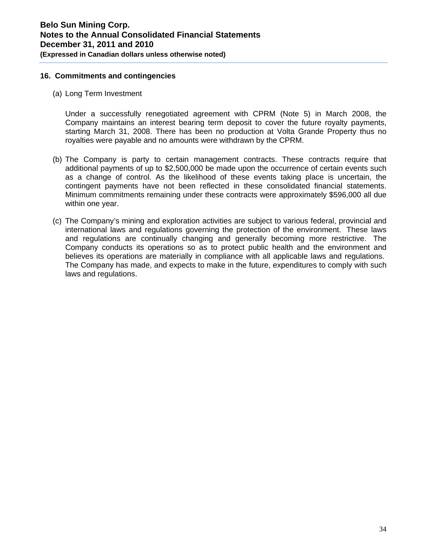# **16. Commitments and contingencies**

(a) Long Term Investment

Under a successfully renegotiated agreement with CPRM (Note 5) in March 2008, the Company maintains an interest bearing term deposit to cover the future royalty payments, starting March 31, 2008. There has been no production at Volta Grande Property thus no royalties were payable and no amounts were withdrawn by the CPRM.

- (b) The Company is party to certain management contracts. These contracts require that additional payments of up to \$2,500,000 be made upon the occurrence of certain events such as a change of control. As the likelihood of these events taking place is uncertain, the contingent payments have not been reflected in these consolidated financial statements. Minimum commitments remaining under these contracts were approximately \$596,000 all due within one year.
- (c) The Company's mining and exploration activities are subject to various federal, provincial and international laws and regulations governing the protection of the environment. These laws and regulations are continually changing and generally becoming more restrictive. The Company conducts its operations so as to protect public health and the environment and believes its operations are materially in compliance with all applicable laws and regulations. The Company has made, and expects to make in the future, expenditures to comply with such laws and regulations.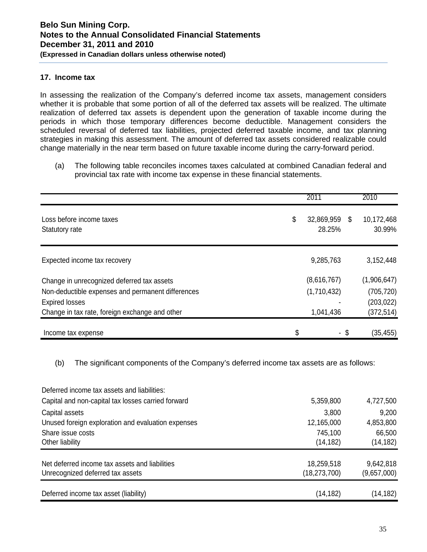# **17. Income tax**

In assessing the realization of the Company's deferred income tax assets, management considers whether it is probable that some portion of all of the deferred tax assets will be realized. The ultimate realization of deferred tax assets is dependent upon the generation of taxable income during the periods in which those temporary differences become deductible. Management considers the scheduled reversal of deferred tax liabilities, projected deferred taxable income, and tax planning strategies in making this assessment. The amount of deferred tax assets considered realizable could change materially in the near term based on future taxable income during the carry-forward period.

(a) The following table reconciles incomes taxes calculated at combined Canadian federal and provincial tax rate with income tax expense in these financial statements.

|                                                   | 2011                       |      | 2010                 |
|---------------------------------------------------|----------------------------|------|----------------------|
| Loss before income taxes<br>Statutory rate        | \$<br>32,869,959<br>28.25% | - \$ | 10,172,468<br>30.99% |
| Expected income tax recovery                      | 9,285,763                  |      | 3,152,448            |
| Change in unrecognized deferred tax assets        | (8,616,767)                |      | (1,906,647)          |
| Non-deductible expenses and permanent differences | (1,710,432)                |      | (705, 720)           |
| <b>Expired losses</b>                             |                            |      | (203, 022)           |
| Change in tax rate, foreign exchange and other    | 1,041,436                  |      | (372, 514)           |
| Income tax expense                                | \$                         | - \$ | (35,455)             |

(b) The significant components of the Company's deferred income tax assets are as follows:

| Deferred income tax assets and liabilities:        |                |             |
|----------------------------------------------------|----------------|-------------|
| Capital and non-capital tax losses carried forward | 5,359,800      | 4,727,500   |
| Capital assets                                     | 3,800          | 9,200       |
| Unused foreign exploration and evaluation expenses | 12,165,000     | 4,853,800   |
| Share issue costs                                  | 745,100        | 66,500      |
| Other liability                                    | (14, 182)      | (14, 182)   |
| Net deferred income tax assets and liabilities     | 18,259,518     | 9,642,818   |
| Unrecognized deferred tax assets                   | (18, 273, 700) | (9,657,000) |
| Deferred income tax asset (liability)              | (14, 182)      | (14, 182)   |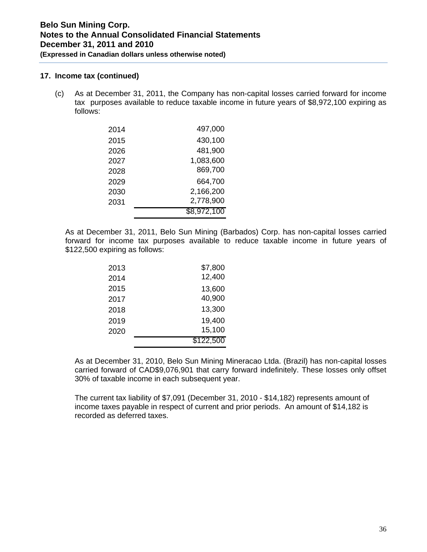### **17. Income tax (continued)**

(c) As at December 31, 2011, the Company has non-capital losses carried forward for income tax purposes available to reduce taxable income in future years of \$8,972,100 expiring as follows:

| 2014 | 497,000     |
|------|-------------|
| 2015 | 430,100     |
| 2026 | 481,900     |
| 2027 | 1,083,600   |
| 2028 | 869,700     |
| 2029 | 664,700     |
| 2030 | 2,166,200   |
| 2031 | 2,778,900   |
|      | \$8,972,100 |

As at December 31, 2011, Belo Sun Mining (Barbados) Corp. has non-capital losses carried forward for income tax purposes available to reduce taxable income in future years of \$122,500 expiring as follows:

| 2013 | \$7,800   |
|------|-----------|
| 2014 | 12,400    |
| 2015 | 13,600    |
| 2017 | 40,900    |
| 2018 | 13,300    |
| 2019 | 19,400    |
| 2020 | 15,100    |
|      | \$122,500 |

As at December 31, 2010, Belo Sun Mining Mineracao Ltda. (Brazil) has non-capital losses carried forward of CAD\$9,076,901 that carry forward indefinitely. These losses only offset 30% of taxable income in each subsequent year.

The current tax liability of \$7,091 (December 31, 2010 - \$14,182) represents amount of income taxes payable in respect of current and prior periods. An amount of \$14,182 is recorded as deferred taxes.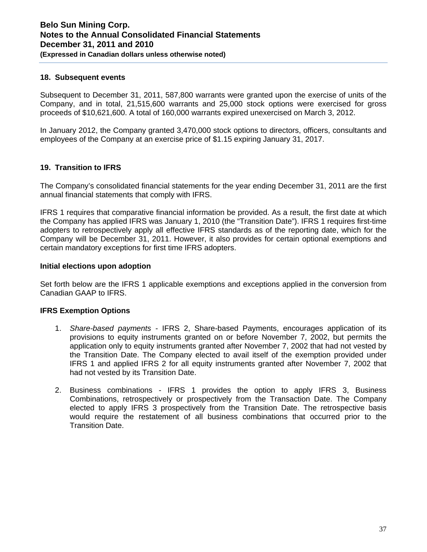### **18. Subsequent events**

Subsequent to December 31, 2011, 587,800 warrants were granted upon the exercise of units of the Company, and in total, 21,515,600 warrants and 25,000 stock options were exercised for gross proceeds of \$10,621,600. A total of 160,000 warrants expired unexercised on March 3, 2012.

In January 2012, the Company granted 3,470,000 stock options to directors, officers, consultants and employees of the Company at an exercise price of \$1.15 expiring January 31, 2017.

# **19. Transition to IFRS**

The Company's consolidated financial statements for the year ending December 31, 2011 are the first annual financial statements that comply with IFRS.

IFRS 1 requires that comparative financial information be provided. As a result, the first date at which the Company has applied IFRS was January 1, 2010 (the "Transition Date"). IFRS 1 requires first-time adopters to retrospectively apply all effective IFRS standards as of the reporting date, which for the Company will be December 31, 2011. However, it also provides for certain optional exemptions and certain mandatory exceptions for first time IFRS adopters.

### **Initial elections upon adoption**

Set forth below are the IFRS 1 applicable exemptions and exceptions applied in the conversion from Canadian GAAP to IFRS.

# **IFRS Exemption Options**

- 1. *Share-based payments* IFRS 2, Share-based Payments, encourages application of its provisions to equity instruments granted on or before November 7, 2002, but permits the application only to equity instruments granted after November 7, 2002 that had not vested by the Transition Date. The Company elected to avail itself of the exemption provided under IFRS 1 and applied IFRS 2 for all equity instruments granted after November 7, 2002 that had not vested by its Transition Date.
- 2. Business combinations IFRS 1 provides the option to apply IFRS 3, Business Combinations, retrospectively or prospectively from the Transaction Date. The Company elected to apply IFRS 3 prospectively from the Transition Date. The retrospective basis would require the restatement of all business combinations that occurred prior to the Transition Date.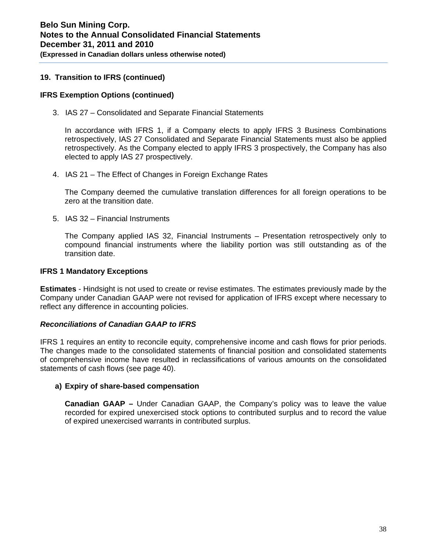# **19. Transition to IFRS (continued)**

# **IFRS Exemption Options (continued)**

3. IAS 27 – Consolidated and Separate Financial Statements

In accordance with IFRS 1, if a Company elects to apply IFRS 3 Business Combinations retrospectively, IAS 27 Consolidated and Separate Financial Statements must also be applied retrospectively. As the Company elected to apply IFRS 3 prospectively, the Company has also elected to apply IAS 27 prospectively.

4. IAS 21 – The Effect of Changes in Foreign Exchange Rates

The Company deemed the cumulative translation differences for all foreign operations to be zero at the transition date.

5. IAS 32 – Financial Instruments

The Company applied IAS 32, Financial Instruments – Presentation retrospectively only to compound financial instruments where the liability portion was still outstanding as of the transition date.

# **IFRS 1 Mandatory Exceptions**

**Estimates** - Hindsight is not used to create or revise estimates. The estimates previously made by the Company under Canadian GAAP were not revised for application of IFRS except where necessary to reflect any difference in accounting policies.

#### *Reconciliations of Canadian GAAP to IFRS*

IFRS 1 requires an entity to reconcile equity, comprehensive income and cash flows for prior periods. The changes made to the consolidated statements of financial position and consolidated statements of comprehensive income have resulted in reclassifications of various amounts on the consolidated statements of cash flows (see page 40).

#### **a) Expiry of share-based compensation**

**Canadian GAAP –** Under Canadian GAAP, the Company's policy was to leave the value recorded for expired unexercised stock options to contributed surplus and to record the value of expired unexercised warrants in contributed surplus.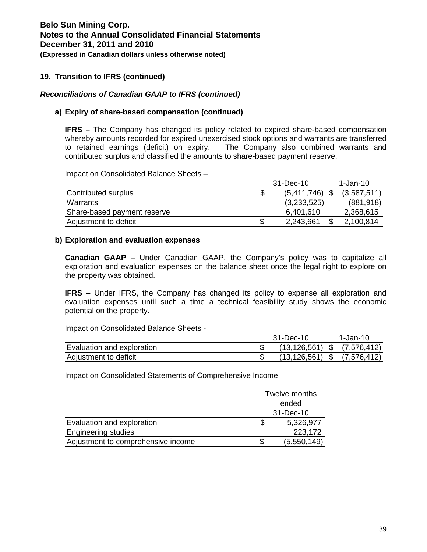# **19. Transition to IFRS (continued)**

# *Reconciliations of Canadian GAAP to IFRS (continued)*

# **a) Expiry of share-based compensation (continued)**

**IFRS –** The Company has changed its policy related to expired share-based compensation whereby amounts recorded for expired unexercised stock options and warrants are transferred to retained earnings (deficit) on expiry. The Company also combined warrants and contributed surplus and classified the amounts to share-based payment reserve.

Impact on Consolidated Balance Sheets –

|                             |     | 31-Dec-10        | 1-Jan-10    |
|-----------------------------|-----|------------------|-------------|
| Contributed surplus         | - 5 | $(5,411,746)$ \$ | (3,587,511) |
| Warrants                    |     | (3,233,525)      | (881, 918)  |
| Share-based payment reserve |     | 6.401.610        | 2,368,615   |
| Adjustment to deficit       | \$  | 2,243,661        | 2,100,814   |

### **b) Exploration and evaluation expenses**

**Canadian GAAP** – Under Canadian GAAP, the Company's policy was to capitalize all exploration and evaluation expenses on the balance sheet once the legal right to explore on the property was obtained.

**IFRS** – Under IFRS, the Company has changed its policy to expense all exploration and evaluation expenses until such a time a technical feasibility study shows the economic potential on the property.

Impact on Consolidated Balance Sheets -

|                            | 31-Dec-10                           | 1-Jan-10    |
|----------------------------|-------------------------------------|-------------|
| Evaluation and exploration | $(13, 126, 561)$ \$ $(7, 576, 412)$ |             |
| Adjustment to deficit      | (13, 126, 561)                      | (7,576,412) |

Impact on Consolidated Statements of Comprehensive Income –

|                                    | Twelve months |
|------------------------------------|---------------|
|                                    | ended         |
|                                    | 31-Dec-10     |
| Evaluation and exploration         | 5,326,977     |
| <b>Engineering studies</b>         | 223,172       |
| Adjustment to comprehensive income | (5,550,149)   |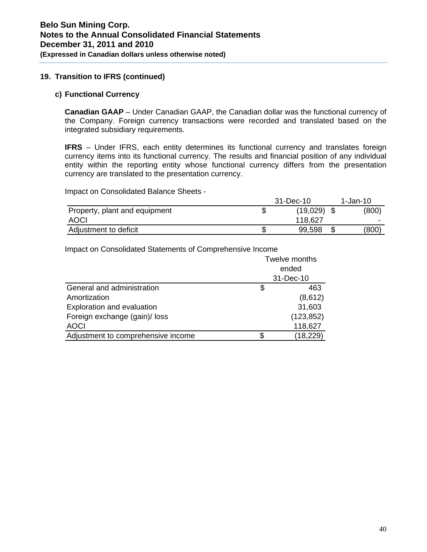# **19. Transition to IFRS (continued)**

#### **c) Functional Currency**

**Canadian GAAP** – Under Canadian GAAP, the Canadian dollar was the functional currency of the Company. Foreign currency transactions were recorded and translated based on the integrated subsidiary requirements.

**IFRS** – Under IFRS, each entity determines its functional currency and translates foreign currency items into its functional currency. The results and financial position of any individual entity within the reporting entity whose functional currency differs from the presentation currency are translated to the presentation currency.

Impact on Consolidated Balance Sheets -

|                               | 31-Dec-10           | 1-Jan-10 |
|-------------------------------|---------------------|----------|
| Property, plant and equipment | \$<br>$(19,029)$ \$ | (800)    |
| <b>AOCI</b>                   | 118.627             |          |
| Adjustment to deficit         | \$<br>99,598        | (800)    |

Impact on Consolidated Statements of Comprehensive Income

|                                    | Twelve months |            |  |  |
|------------------------------------|---------------|------------|--|--|
|                                    | ended         |            |  |  |
|                                    |               | 31-Dec-10  |  |  |
| General and administration         | \$            | 463        |  |  |
| Amortization                       |               | (8,612)    |  |  |
| Exploration and evaluation         |               | 31,603     |  |  |
| Foreign exchange (gain)/ loss      |               | (123, 852) |  |  |
| <b>AOCI</b>                        |               | 118,627    |  |  |
| Adjustment to comprehensive income |               | (18, 229)  |  |  |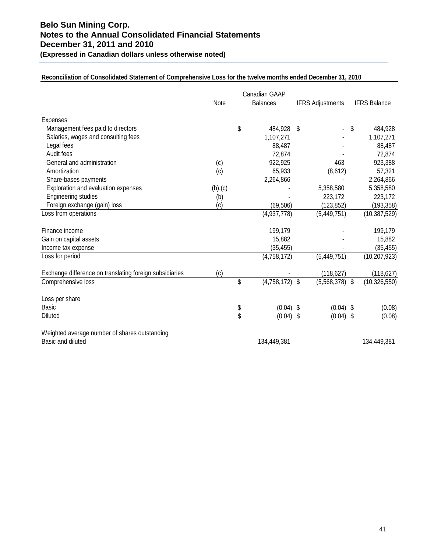# **Belo Sun Mining Corp. Notes to the Annual Consolidated Financial Statements December 31, 2011 and 2010**

**(Expressed in Canadian dollars unless otherwise noted)** 

#### **Reconciliation of Consolidated Statement of Comprehensive Loss for the twelve months ended December 31, 2010**

|                                                         | Canadian GAAP |    |                 |    |                         |    |                     |
|---------------------------------------------------------|---------------|----|-----------------|----|-------------------------|----|---------------------|
|                                                         | Note          |    | <b>Balances</b> |    | <b>IFRS Adjustments</b> |    | <b>IFRS Balance</b> |
| <b>Expenses</b>                                         |               |    |                 |    |                         |    |                     |
| Management fees paid to directors                       |               | \$ | 484,928         | \$ |                         | \$ | 484,928             |
| Salaries, wages and consulting fees                     |               |    | 1,107,271       |    |                         |    | 1,107,271           |
| Legal fees                                              |               |    | 88,487          |    |                         |    | 88,487              |
| Audit fees                                              |               |    | 72,874          |    |                         |    | 72,874              |
| General and administration                              | (c)           |    | 922,925         |    | 463                     |    | 923,388             |
| Amortization                                            | (c)           |    | 65,933          |    | (8,612)                 |    | 57,321              |
| Share-bases payments                                    |               |    | 2,264,866       |    |                         |    | 2,264,866           |
| Exploration and evaluation expenses                     | (b), (c)      |    |                 |    | 5,358,580               |    | 5,358,580           |
| <b>Engineering studies</b>                              | (b)           |    |                 |    | 223,172                 |    | 223,172             |
| Foreign exchange (gain) loss                            | (c)           |    | (69, 506)       |    | (123, 852)              |    | (193, 358)          |
| Loss from operations                                    |               |    | (4,937,778)     |    | (5,449,751)             |    | (10, 387, 529)      |
| Finance income                                          |               |    | 199,179         |    |                         |    | 199,179             |
| Gain on capital assets                                  |               |    | 15,882          |    |                         |    | 15,882              |
| Income tax expense                                      |               |    | (35, 455)       |    |                         |    | (35, 455)           |
| Loss for period                                         |               |    | (4,758,172)     |    | (5,449,751)             |    | (10, 207, 923)      |
| Exchange difference on translating foreign subsidiaries | (c)           |    |                 |    | (118, 627)              |    | (118, 627)          |
| Comprehensive loss                                      |               | \$ | (4,758,172)     | \$ | (5,568,378)             | \$ | (10, 326, 550)      |
| Loss per share                                          |               |    |                 |    |                         |    |                     |
| <b>Basic</b>                                            |               | \$ | $(0.04)$ \$     |    | $(0.04)$ \$             |    | (0.08)              |
| <b>Diluted</b>                                          |               | \$ | $(0.04)$ \$     |    | (0.04)                  | S  | (0.08)              |
| Weighted average number of shares outstanding           |               |    |                 |    |                         |    |                     |
| Basic and diluted                                       |               |    | 134,449,381     |    |                         |    | 134,449,381         |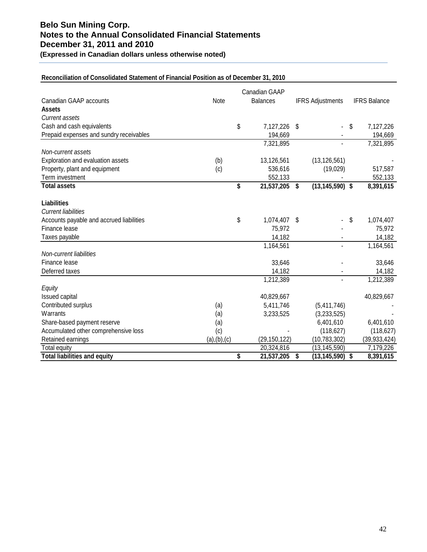# **Belo Sun Mining Corp. Notes to the Annual Consolidated Financial Statements December 31, 2011 and 2010**

**(Expressed in Canadian dollars unless otherwise noted)** 

#### **Reconciliation of Consolidated Statement of Financial Position as of December 31, 2010**

|                                          |               | Canadian GAAP       |     |                         |    |                     |
|------------------------------------------|---------------|---------------------|-----|-------------------------|----|---------------------|
| Canadian GAAP accounts                   | Note          | <b>Balances</b>     |     | <b>IFRS Adjustments</b> |    | <b>IFRS Balance</b> |
| <b>Assets</b>                            |               |                     |     |                         |    |                     |
| <b>Current assets</b>                    |               |                     |     |                         |    |                     |
| Cash and cash equivalents                |               | \$<br>7,127,226     | -\$ | ٠                       | \$ | 7,127,226           |
| Prepaid expenses and sundry receivables  |               | 194,669             |     |                         |    | 194,669             |
|                                          |               | 7,321,895           |     |                         |    | 7,321,895           |
| Non-current assets                       |               |                     |     |                         |    |                     |
| Exploration and evaluation assets        | (b)           | 13,126,561          |     | (13, 126, 561)          |    |                     |
| Property, plant and equipment            | (c)           | 536,616             |     | (19,029)                |    | 517,587             |
| Term investment                          |               | 552,133             |     |                         |    | 552,133             |
| <b>Total assets</b>                      |               | \$<br>21,537,205 \$ |     | $(13, 145, 590)$ \$     |    | 8,391,615           |
|                                          |               |                     |     |                         |    |                     |
| <b>Liabilities</b>                       |               |                     |     |                         |    |                     |
| <b>Current liabilities</b>               |               |                     |     |                         |    |                     |
| Accounts payable and accrued liabilities |               | \$<br>1,074,407 \$  |     |                         | S  | 1,074,407           |
| Finance lease                            |               | 75,972              |     |                         |    | 75,972              |
| Taxes payable                            |               | 14,182              |     |                         |    | 14,182              |
|                                          |               | 1,164,561           |     |                         |    | 1,164,561           |
| Non-current liabilities                  |               |                     |     |                         |    |                     |
| Finance lease                            |               | 33,646              |     |                         |    | 33,646              |
| Deferred taxes                           |               | 14,182              |     |                         |    | 14,182              |
|                                          |               | 1,212,389           |     |                         |    | 1,212,389           |
| Equity                                   |               |                     |     |                         |    |                     |
| Issued capital                           |               | 40,829,667          |     |                         |    | 40,829,667          |
| Contributed surplus                      | (a)           | 5,411,746           |     | (5,411,746)             |    |                     |
| Warrants                                 | (a)           | 3,233,525           |     | (3,233,525)             |    |                     |
| Share-based payment reserve              | (a)           |                     |     | 6,401,610               |    | 6,401,610           |
| Accumulated other comprehensive loss     | (c)           |                     |     | (118, 627)              |    | (118, 627)          |
| Retained earnings                        | (a), (b), (c) | (29, 150, 122)      |     | (10, 783, 302)          |    | (39, 933, 424)      |
| <b>Total equity</b>                      |               | 20,324,816          |     | (13, 145, 590)          |    | 7,179,226           |
| <b>Total liabilities and equity</b>      |               | \$<br>21,537,205    | \$  | (13, 145, 590)          | \$ | 8,391,615           |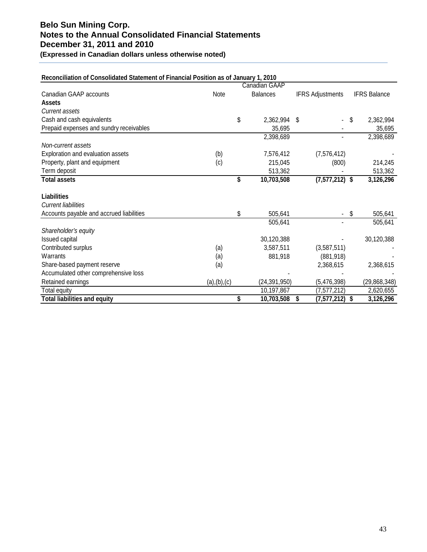# **Belo Sun Mining Corp. Notes to the Annual Consolidated Financial Statements December 31, 2011 and 2010**

**(Expressed in Canadian dollars unless otherwise noted)** 

| Reconciliation of Consolidated Statement of Financial Position as of January 1, 2010 |               |                  |                                 |                     |
|--------------------------------------------------------------------------------------|---------------|------------------|---------------------------------|---------------------|
|                                                                                      |               | Canadian GAAP    |                                 |                     |
| Canadian GAAP accounts                                                               | Note          | <b>Balances</b>  | <b>IFRS Adjustments</b>         | <b>IFRS Balance</b> |
| <b>Assets</b>                                                                        |               |                  |                                 |                     |
| <b>Current assets</b>                                                                |               |                  |                                 |                     |
| Cash and cash equivalents                                                            |               | \$<br>2,362,994  | -\$<br>$\overline{\phantom{0}}$ | \$<br>2,362,994     |
| Prepaid expenses and sundry receivables                                              |               | 35,695           |                                 | 35,695              |
|                                                                                      |               | 2,398,689        |                                 | 2,398,689           |
| Non-current assets                                                                   |               |                  |                                 |                     |
| Exploration and evaluation assets                                                    | (b)           | 7,576,412        | (7,576,412)                     |                     |
| Property, plant and equipment                                                        | (c)           | 215,045          | (800)                           | 214,245             |
| Term deposit                                                                         |               | 513,362          |                                 | 513,362             |
| <b>Total assets</b>                                                                  |               | \$<br>10,703,508 | $(7,577,212)$ \$                | 3,126,296           |
| <b>Liabilities</b>                                                                   |               |                  |                                 |                     |
| <b>Current liabilities</b>                                                           |               |                  |                                 |                     |
| Accounts payable and accrued liabilities                                             |               | \$<br>505,641    |                                 | \$<br>505,641       |
|                                                                                      |               | 505,641          |                                 | 505,641             |
| Shareholder's equity                                                                 |               |                  |                                 |                     |
| Issued capital                                                                       |               | 30,120,388       |                                 | 30,120,388          |
| Contributed surplus                                                                  | (a)           | 3,587,511        | (3,587,511)                     |                     |
| Warrants                                                                             | (a)           | 881,918          | (881, 918)                      |                     |
| Share-based payment reserve                                                          | (a)           |                  | 2,368,615                       | 2,368,615           |
| Accumulated other comprehensive loss                                                 |               |                  |                                 |                     |
| Retained earnings                                                                    | (a), (b), (c) | (24, 391, 950)   | (5,476,398)                     | (29, 868, 348)      |
| Total equity                                                                         |               | 10,197,867       | (7,577,212)                     | 2,620,655           |
| <b>Total liabilities and equity</b>                                                  |               | \$<br>10,703,508 | Ŝ.<br>$(7,577,212)$ \$          | 3,126,296           |

# **Reconciliation of Consolidated Statement of Financial Position as of January 1, 2010**